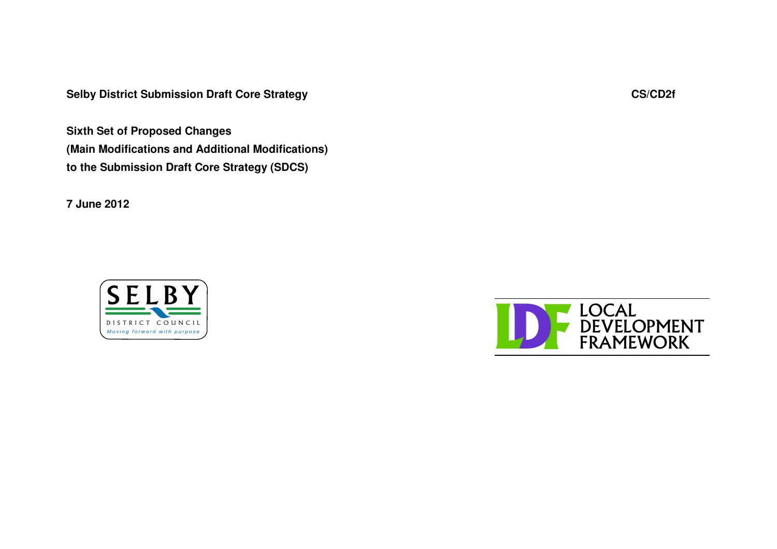**Selby District Submission Draft Core Strategy CS/CD2f**

**Sixth Set of Proposed Changes (Main Modifications and Additional Modifications) to the Submission Draft Core Strategy (SDCS)**

**7 June 2012**



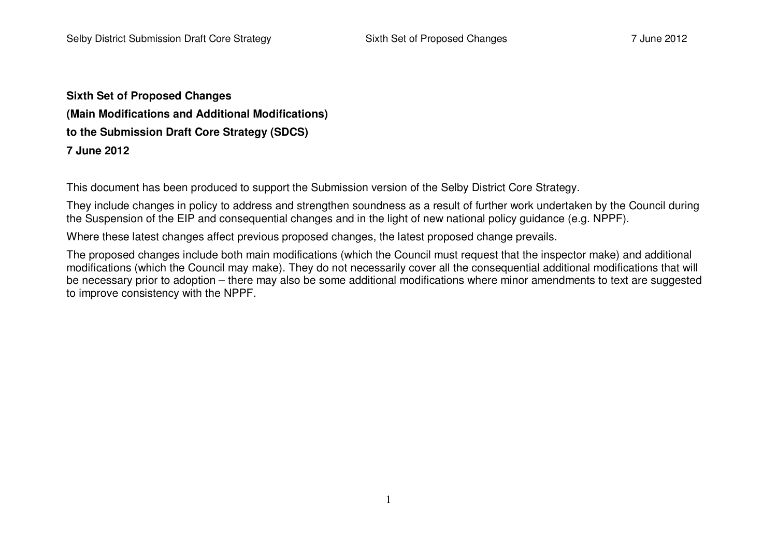**Sixth Set of Proposed Changes (Main Modifications and Additional Modifications) to the Submission Draft Core Strategy (SDCS) 7 June 2012**

This document has been produced to support the Submission version of the Selby District Core Strategy.

They include changes in policy to address and strengthen soundness as <sup>a</sup> result of further work undertaken by the Council during the Suspension of the EIP and consequential changes and in the light of new national policy guidance (e.g. NPPF).

Where these latest changes affect previous proposed changes, the latest proposed change prevails.

The proposed changes include both main modifications (which the Council must request that the inspector make) and additional modifications (which the Council may make). They do not necessarily cover all the consequential additional modifications that will be necessary prior to adoption – there may also be some additional modifications where minor amendments to text are suggested to improve consistency with the NPPF.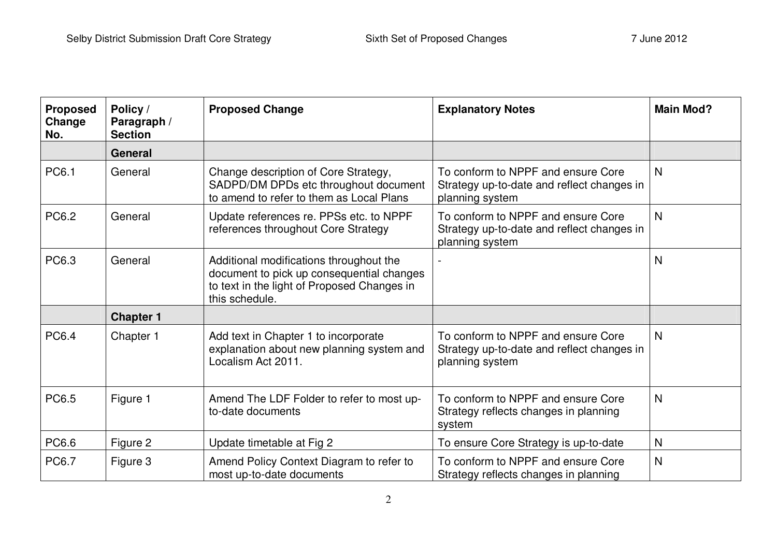| <b>Proposed</b><br>Change<br>No. | Policy /<br>Paragraph /<br><b>Section</b> | <b>Proposed Change</b>                                                                                                                                | <b>Explanatory Notes</b>                                                                            | <b>Main Mod?</b> |
|----------------------------------|-------------------------------------------|-------------------------------------------------------------------------------------------------------------------------------------------------------|-----------------------------------------------------------------------------------------------------|------------------|
|                                  | General                                   |                                                                                                                                                       |                                                                                                     |                  |
| <b>PC6.1</b>                     | General                                   | Change description of Core Strategy,<br>SADPD/DM DPDs etc throughout document<br>to amend to refer to them as Local Plans                             | To conform to NPPF and ensure Core<br>Strategy up-to-date and reflect changes in<br>planning system | $\mathsf{N}$     |
| PC6.2                            | General                                   | Update references re. PPSs etc. to NPPF<br>references throughout Core Strategy                                                                        | To conform to NPPF and ensure Core<br>Strategy up-to-date and reflect changes in<br>planning system | $\mathsf{N}$     |
| PC6.3                            | General                                   | Additional modifications throughout the<br>document to pick up consequential changes<br>to text in the light of Proposed Changes in<br>this schedule. |                                                                                                     | $\mathsf{N}$     |
|                                  | <b>Chapter 1</b>                          |                                                                                                                                                       |                                                                                                     |                  |
| PC6.4                            | Chapter 1                                 | Add text in Chapter 1 to incorporate<br>explanation about new planning system and<br>Localism Act 2011.                                               | To conform to NPPF and ensure Core<br>Strategy up-to-date and reflect changes in<br>planning system | N                |
| PC6.5                            | Figure 1                                  | Amend The LDF Folder to refer to most up-<br>to-date documents                                                                                        | To conform to NPPF and ensure Core<br>Strategy reflects changes in planning<br>system               | $\mathsf{N}$     |
| PC6.6                            | Figure 2                                  | Update timetable at Fig 2                                                                                                                             | To ensure Core Strategy is up-to-date                                                               | $\mathsf{N}$     |
| <b>PC6.7</b>                     | Figure 3                                  | Amend Policy Context Diagram to refer to<br>most up-to-date documents                                                                                 | To conform to NPPF and ensure Core<br>Strategy reflects changes in planning                         | $\mathsf{N}$     |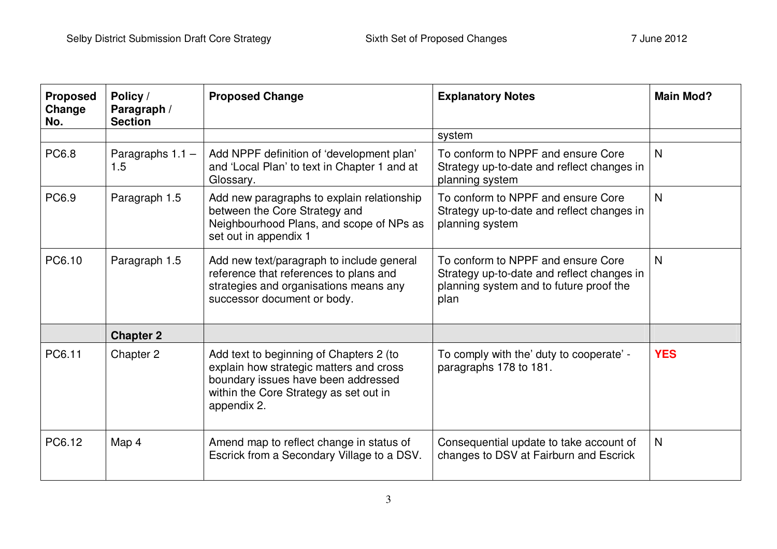| <b>Proposed</b><br>Change<br>No. | Policy /<br>Paragraph /<br><b>Section</b> | <b>Proposed Change</b>                                                                                                                                                             | <b>Explanatory Notes</b>                                                                                                            | <b>Main Mod?</b> |
|----------------------------------|-------------------------------------------|------------------------------------------------------------------------------------------------------------------------------------------------------------------------------------|-------------------------------------------------------------------------------------------------------------------------------------|------------------|
|                                  |                                           |                                                                                                                                                                                    | system                                                                                                                              |                  |
| <b>PC6.8</b>                     | Paragraphs $1.1 -$<br>1.5                 | Add NPPF definition of 'development plan'<br>and 'Local Plan' to text in Chapter 1 and at<br>Glossary.                                                                             | To conform to NPPF and ensure Core<br>Strategy up-to-date and reflect changes in<br>planning system                                 | N                |
| PC6.9                            | Paragraph 1.5                             | Add new paragraphs to explain relationship<br>between the Core Strategy and<br>Neighbourhood Plans, and scope of NPs as<br>set out in appendix 1                                   | To conform to NPPF and ensure Core<br>Strategy up-to-date and reflect changes in<br>planning system                                 | $\mathsf{N}$     |
| PC6.10                           | Paragraph 1.5                             | Add new text/paragraph to include general<br>reference that references to plans and<br>strategies and organisations means any<br>successor document or body.                       | To conform to NPPF and ensure Core<br>Strategy up-to-date and reflect changes in<br>planning system and to future proof the<br>plan | N                |
|                                  | <b>Chapter 2</b>                          |                                                                                                                                                                                    |                                                                                                                                     |                  |
| PC6.11                           | Chapter 2                                 | Add text to beginning of Chapters 2 (to<br>explain how strategic matters and cross<br>boundary issues have been addressed<br>within the Core Strategy as set out in<br>appendix 2. | To comply with the' duty to cooperate' -<br>paragraphs 178 to 181.                                                                  | <b>YES</b>       |
| PC6.12                           | Map 4                                     | Amend map to reflect change in status of<br>Escrick from a Secondary Village to a DSV.                                                                                             | Consequential update to take account of<br>changes to DSV at Fairburn and Escrick                                                   | $\mathsf{N}$     |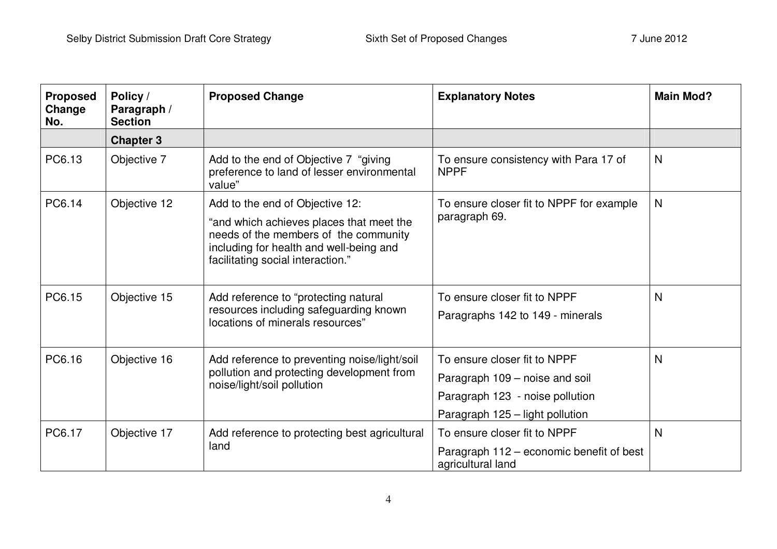| <b>Proposed</b><br>Change<br>No. | Policy /<br>Paragraph /<br><b>Section</b> | <b>Proposed Change</b>                                                                                                                                            | <b>Explanatory Notes</b>                                      | <b>Main Mod?</b> |
|----------------------------------|-------------------------------------------|-------------------------------------------------------------------------------------------------------------------------------------------------------------------|---------------------------------------------------------------|------------------|
|                                  | <b>Chapter 3</b>                          |                                                                                                                                                                   |                                                               |                  |
| PC6.13                           | Objective 7                               | Add to the end of Objective 7 "giving"<br>preference to land of lesser environmental<br>value"                                                                    | To ensure consistency with Para 17 of<br><b>NPPF</b>          | N                |
| PC6.14                           | Objective 12                              | Add to the end of Objective 12:                                                                                                                                   | To ensure closer fit to NPPF for example                      | N                |
|                                  |                                           | "and which achieves places that meet the<br>needs of the members of the community<br>including for health and well-being and<br>facilitating social interaction." | paragraph 69.                                                 |                  |
| PC6.15                           | Objective 15                              | Add reference to "protecting natural                                                                                                                              | To ensure closer fit to NPPF                                  | N                |
|                                  |                                           | resources including safeguarding known<br>locations of minerals resources"                                                                                        | Paragraphs 142 to 149 - minerals                              |                  |
| PC6.16                           | Objective 16                              | Add reference to preventing noise/light/soil                                                                                                                      | To ensure closer fit to NPPF                                  | N                |
|                                  |                                           | pollution and protecting development from<br>noise/light/soil pollution                                                                                           | Paragraph 109 - noise and soil                                |                  |
|                                  |                                           |                                                                                                                                                                   | Paragraph 123 - noise pollution                               |                  |
|                                  |                                           |                                                                                                                                                                   | Paragraph 125 – light pollution                               |                  |
| PC6.17                           | Objective 17                              | Add reference to protecting best agricultural                                                                                                                     | To ensure closer fit to NPPF                                  | N                |
|                                  |                                           | land                                                                                                                                                              | Paragraph 112 – economic benefit of best<br>agricultural land |                  |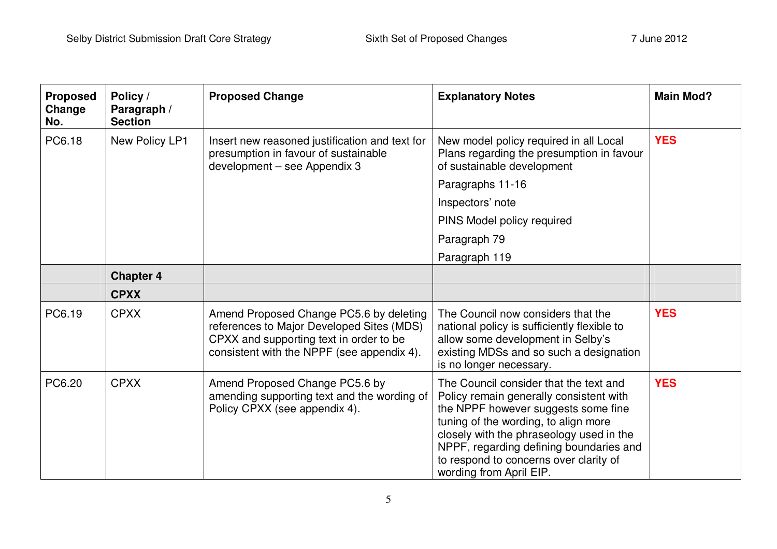| <b>Proposed</b><br>Change<br>No. | Policy /<br>Paragraph /<br><b>Section</b> | <b>Proposed Change</b>                                                                                                                                                        | <b>Explanatory Notes</b>                                                                                                                                                                                                                                                                                                     | <b>Main Mod?</b> |
|----------------------------------|-------------------------------------------|-------------------------------------------------------------------------------------------------------------------------------------------------------------------------------|------------------------------------------------------------------------------------------------------------------------------------------------------------------------------------------------------------------------------------------------------------------------------------------------------------------------------|------------------|
| PC6.18                           | New Policy LP1                            | Insert new reasoned justification and text for<br>presumption in favour of sustainable<br>development - see Appendix 3                                                        | New model policy required in all Local<br>Plans regarding the presumption in favour<br>of sustainable development                                                                                                                                                                                                            | <b>YES</b>       |
|                                  |                                           |                                                                                                                                                                               | Paragraphs 11-16                                                                                                                                                                                                                                                                                                             |                  |
|                                  |                                           |                                                                                                                                                                               | Inspectors' note                                                                                                                                                                                                                                                                                                             |                  |
|                                  |                                           |                                                                                                                                                                               | PINS Model policy required                                                                                                                                                                                                                                                                                                   |                  |
|                                  |                                           |                                                                                                                                                                               | Paragraph 79                                                                                                                                                                                                                                                                                                                 |                  |
|                                  |                                           |                                                                                                                                                                               | Paragraph 119                                                                                                                                                                                                                                                                                                                |                  |
|                                  | <b>Chapter 4</b>                          |                                                                                                                                                                               |                                                                                                                                                                                                                                                                                                                              |                  |
|                                  | <b>CPXX</b>                               |                                                                                                                                                                               |                                                                                                                                                                                                                                                                                                                              |                  |
| PC6.19                           | <b>CPXX</b>                               | Amend Proposed Change PC5.6 by deleting<br>references to Major Developed Sites (MDS)<br>CPXX and supporting text in order to be<br>consistent with the NPPF (see appendix 4). | The Council now considers that the<br>national policy is sufficiently flexible to<br>allow some development in Selby's<br>existing MDSs and so such a designation<br>is no longer necessary.                                                                                                                                 | <b>YES</b>       |
| PC6.20                           | <b>CPXX</b>                               | Amend Proposed Change PC5.6 by<br>amending supporting text and the wording of<br>Policy CPXX (see appendix 4).                                                                | The Council consider that the text and<br>Policy remain generally consistent with<br>the NPPF however suggests some fine<br>tuning of the wording, to align more<br>closely with the phraseology used in the<br>NPPF, regarding defining boundaries and<br>to respond to concerns over clarity of<br>wording from April EIP. | <b>YES</b>       |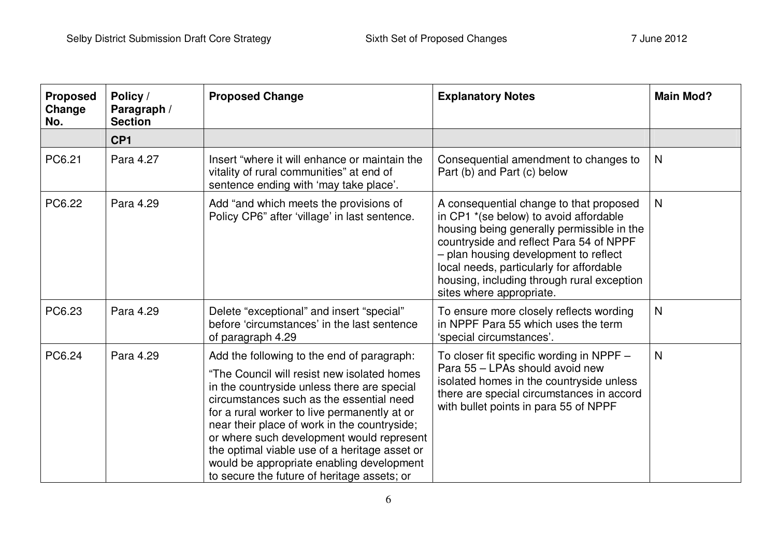| <b>Proposed</b><br>Change<br>No. | Policy /<br>Paragraph /<br><b>Section</b> | <b>Proposed Change</b>                                                                                                                                                                                                                                                                                                                                                                                                                                                         | <b>Explanatory Notes</b>                                                                                                                                                                                                                                                                                                                  | <b>Main Mod?</b> |
|----------------------------------|-------------------------------------------|--------------------------------------------------------------------------------------------------------------------------------------------------------------------------------------------------------------------------------------------------------------------------------------------------------------------------------------------------------------------------------------------------------------------------------------------------------------------------------|-------------------------------------------------------------------------------------------------------------------------------------------------------------------------------------------------------------------------------------------------------------------------------------------------------------------------------------------|------------------|
|                                  | CP <sub>1</sub>                           |                                                                                                                                                                                                                                                                                                                                                                                                                                                                                |                                                                                                                                                                                                                                                                                                                                           |                  |
| PC6.21                           | Para 4.27                                 | Insert "where it will enhance or maintain the<br>vitality of rural communities" at end of<br>sentence ending with 'may take place'.                                                                                                                                                                                                                                                                                                                                            | Consequential amendment to changes to<br>Part (b) and Part (c) below                                                                                                                                                                                                                                                                      | N                |
| PC6.22                           | Para 4.29                                 | Add "and which meets the provisions of<br>Policy CP6" after 'village' in last sentence.                                                                                                                                                                                                                                                                                                                                                                                        | A consequential change to that proposed<br>in CP1 *(se below) to avoid affordable<br>housing being generally permissible in the<br>countryside and reflect Para 54 of NPPF<br>- plan housing development to reflect<br>local needs, particularly for affordable<br>housing, including through rural exception<br>sites where appropriate. | N                |
| PC6.23                           | Para 4.29                                 | Delete "exceptional" and insert "special"<br>before 'circumstances' in the last sentence<br>of paragraph 4.29                                                                                                                                                                                                                                                                                                                                                                  | To ensure more closely reflects wording<br>in NPPF Para 55 which uses the term<br>'special circumstances'.                                                                                                                                                                                                                                | $\mathsf{N}$     |
| PC6.24                           | Para 4.29                                 | Add the following to the end of paragraph:<br>"The Council will resist new isolated homes<br>in the countryside unless there are special<br>circumstances such as the essential need<br>for a rural worker to live permanently at or<br>near their place of work in the countryside;<br>or where such development would represent<br>the optimal viable use of a heritage asset or<br>would be appropriate enabling development<br>to secure the future of heritage assets; or | To closer fit specific wording in NPPF -<br>Para 55 - LPAs should avoid new<br>isolated homes in the countryside unless<br>there are special circumstances in accord<br>with bullet points in para 55 of NPPF                                                                                                                             | N                |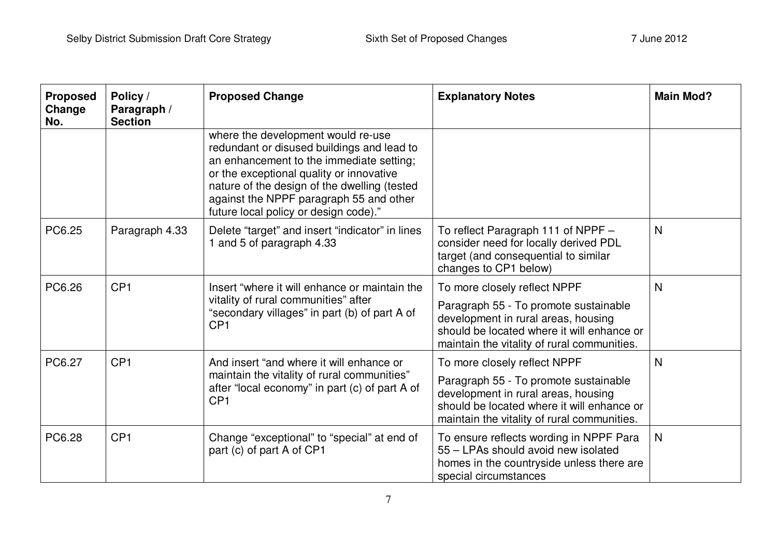| <b>Proposed</b><br>Change<br>No. | Policy /<br>Paragraph /<br><b>Section</b> | <b>Proposed Change</b>                                                                                                                                                                                                                                                                                       | <b>Explanatory Notes</b>                                                                                                                                                  | <b>Main Mod?</b> |
|----------------------------------|-------------------------------------------|--------------------------------------------------------------------------------------------------------------------------------------------------------------------------------------------------------------------------------------------------------------------------------------------------------------|---------------------------------------------------------------------------------------------------------------------------------------------------------------------------|------------------|
|                                  |                                           | where the development would re-use<br>redundant or disused buildings and lead to<br>an enhancement to the immediate setting;<br>or the exceptional quality or innovative<br>nature of the design of the dwelling (tested<br>against the NPPF paragraph 55 and other<br>future local policy or design code)." |                                                                                                                                                                           |                  |
| PC6.25                           | Paragraph 4.33                            | Delete "target" and insert "indicator" in lines<br>1 and 5 of paragraph 4.33                                                                                                                                                                                                                                 | To reflect Paragraph 111 of NPPF -<br>consider need for locally derived PDL<br>target (and consequential to similar<br>changes to CP1 below)                              | N                |
| PC6.26                           | CP <sub>1</sub>                           | Insert "where it will enhance or maintain the<br>vitality of rural communities" after<br>"secondary villages" in part (b) of part A of<br>CP <sub>1</sub>                                                                                                                                                    | To more closely reflect NPPF                                                                                                                                              | N                |
|                                  |                                           |                                                                                                                                                                                                                                                                                                              | Paragraph 55 - To promote sustainable<br>development in rural areas, housing<br>should be located where it will enhance or<br>maintain the vitality of rural communities. |                  |
| PC6.27                           | CP <sub>1</sub>                           | And insert "and where it will enhance or<br>maintain the vitality of rural communities"<br>after "local economy" in part (c) of part A of<br>CP <sub>1</sub>                                                                                                                                                 | To more closely reflect NPPF                                                                                                                                              | N                |
|                                  |                                           |                                                                                                                                                                                                                                                                                                              | Paragraph 55 - To promote sustainable<br>development in rural areas, housing<br>should be located where it will enhance or<br>maintain the vitality of rural communities. |                  |
| PC6.28                           | CP <sub>1</sub>                           | Change "exceptional" to "special" at end of<br>part (c) of part A of CP1                                                                                                                                                                                                                                     | To ensure reflects wording in NPPF Para<br>55 - LPAs should avoid new isolated<br>homes in the countryside unless there are<br>special circumstances                      | N                |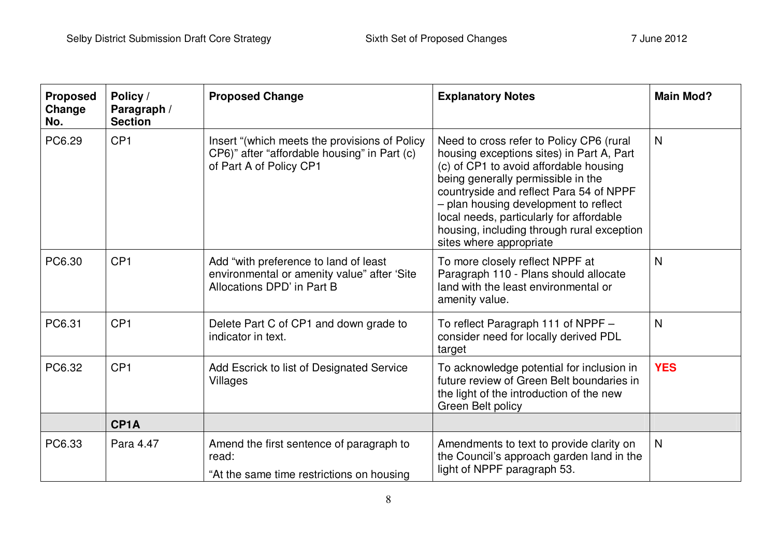| <b>Proposed</b><br>Change<br>No. | Policy /<br>Paragraph /<br><b>Section</b> | <b>Proposed Change</b>                                                                                                   | <b>Explanatory Notes</b>                                                                                                                                                                                                                                                                                                                                                       | <b>Main Mod?</b> |
|----------------------------------|-------------------------------------------|--------------------------------------------------------------------------------------------------------------------------|--------------------------------------------------------------------------------------------------------------------------------------------------------------------------------------------------------------------------------------------------------------------------------------------------------------------------------------------------------------------------------|------------------|
| PC6.29                           | CP <sub>1</sub>                           | Insert "(which meets the provisions of Policy<br>CP6)" after "affordable housing" in Part (c)<br>of Part A of Policy CP1 | Need to cross refer to Policy CP6 (rural<br>housing exceptions sites) in Part A, Part<br>(c) of CP1 to avoid affordable housing<br>being generally permissible in the<br>countryside and reflect Para 54 of NPPF<br>- plan housing development to reflect<br>local needs, particularly for affordable<br>housing, including through rural exception<br>sites where appropriate | N                |
| PC6.30                           | CP <sub>1</sub>                           | Add "with preference to land of least<br>environmental or amenity value" after 'Site<br>Allocations DPD' in Part B       | To more closely reflect NPPF at<br>Paragraph 110 - Plans should allocate<br>land with the least environmental or<br>amenity value.                                                                                                                                                                                                                                             | N                |
| PC6.31                           | CP <sub>1</sub>                           | Delete Part C of CP1 and down grade to<br>indicator in text.                                                             | To reflect Paragraph 111 of NPPF -<br>consider need for locally derived PDL<br>target                                                                                                                                                                                                                                                                                          | N                |
| PC6.32                           | CP <sub>1</sub>                           | Add Escrick to list of Designated Service<br>Villages                                                                    | To acknowledge potential for inclusion in<br>future review of Green Belt boundaries in<br>the light of the introduction of the new<br><b>Green Belt policy</b>                                                                                                                                                                                                                 | <b>YES</b>       |
|                                  | CP <sub>1</sub> A                         |                                                                                                                          |                                                                                                                                                                                                                                                                                                                                                                                |                  |
| PC6.33                           | Para 4.47                                 | Amend the first sentence of paragraph to<br>read:<br>"At the same time restrictions on housing                           | Amendments to text to provide clarity on<br>the Council's approach garden land in the<br>light of NPPF paragraph 53.                                                                                                                                                                                                                                                           | N                |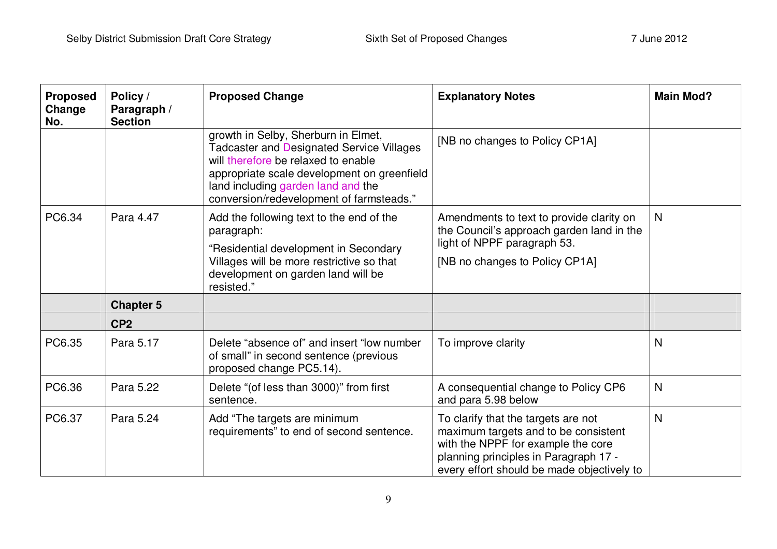| <b>Proposed</b><br>Change<br>No. | Policy /<br>Paragraph /<br><b>Section</b> | <b>Proposed Change</b>                                                                                                                                                                                                                                          | <b>Explanatory Notes</b>                                                                                                                                                                                 | <b>Main Mod?</b> |
|----------------------------------|-------------------------------------------|-----------------------------------------------------------------------------------------------------------------------------------------------------------------------------------------------------------------------------------------------------------------|----------------------------------------------------------------------------------------------------------------------------------------------------------------------------------------------------------|------------------|
|                                  |                                           | growth in Selby, Sherburn in Elmet,<br><b>Tadcaster and Designated Service Villages</b><br>will therefore be relaxed to enable<br>appropriate scale development on greenfield<br>land including garden land and the<br>conversion/redevelopment of farmsteads." | [NB no changes to Policy CP1A]                                                                                                                                                                           |                  |
| PC6.34                           | Para 4.47                                 | Add the following text to the end of the<br>paragraph:<br>"Residential development in Secondary<br>Villages will be more restrictive so that<br>development on garden land will be<br>resisted."                                                                | Amendments to text to provide clarity on<br>the Council's approach garden land in the<br>light of NPPF paragraph 53.<br>[NB no changes to Policy CP1A]                                                   | $\mathsf{N}$     |
|                                  | <b>Chapter 5</b>                          |                                                                                                                                                                                                                                                                 |                                                                                                                                                                                                          |                  |
|                                  | CP <sub>2</sub>                           |                                                                                                                                                                                                                                                                 |                                                                                                                                                                                                          |                  |
| PC6.35                           | Para 5.17                                 | Delete "absence of" and insert "low number<br>of small" in second sentence (previous<br>proposed change PC5.14).                                                                                                                                                | To improve clarity                                                                                                                                                                                       | N                |
| PC6.36                           | Para 5.22                                 | Delete "(of less than 3000)" from first<br>sentence.                                                                                                                                                                                                            | A consequential change to Policy CP6<br>and para 5.98 below                                                                                                                                              | $\mathsf{N}$     |
| PC6.37                           | Para 5.24                                 | Add "The targets are minimum<br>requirements" to end of second sentence.                                                                                                                                                                                        | To clarify that the targets are not<br>maximum targets and to be consistent<br>with the NPPF for example the core<br>planning principles in Paragraph 17 -<br>every effort should be made objectively to | $\mathsf{N}$     |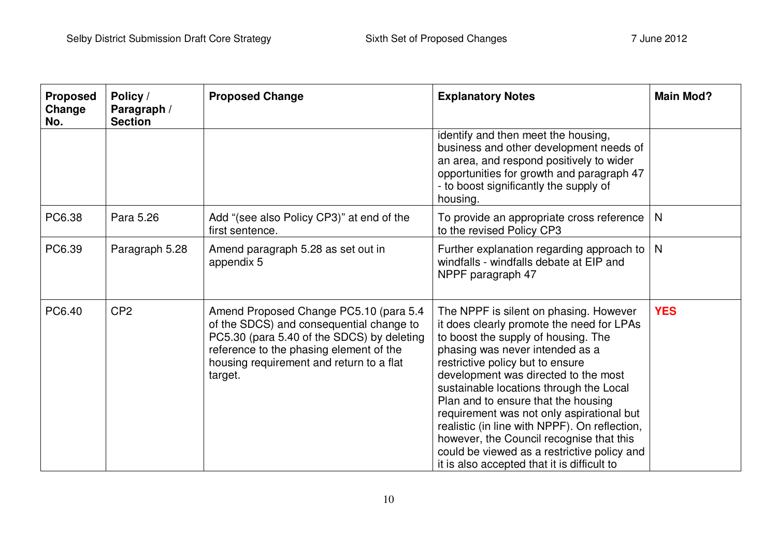| <b>Proposed</b><br>Change<br>No. | Policy /<br>Paragraph /<br><b>Section</b> | <b>Proposed Change</b>                                                                                                                                                                                                             | <b>Explanatory Notes</b>                                                                                                                                                                                                                                                                                                                                                                                                                                                                                                                                            | <b>Main Mod?</b> |
|----------------------------------|-------------------------------------------|------------------------------------------------------------------------------------------------------------------------------------------------------------------------------------------------------------------------------------|---------------------------------------------------------------------------------------------------------------------------------------------------------------------------------------------------------------------------------------------------------------------------------------------------------------------------------------------------------------------------------------------------------------------------------------------------------------------------------------------------------------------------------------------------------------------|------------------|
|                                  |                                           |                                                                                                                                                                                                                                    | identify and then meet the housing,<br>business and other development needs of<br>an area, and respond positively to wider<br>opportunities for growth and paragraph 47<br>- to boost significantly the supply of<br>housing.                                                                                                                                                                                                                                                                                                                                       |                  |
| PC6.38                           | Para 5.26                                 | Add "(see also Policy CP3)" at end of the<br>first sentence.                                                                                                                                                                       | To provide an appropriate cross reference<br>to the revised Policy CP3                                                                                                                                                                                                                                                                                                                                                                                                                                                                                              | N                |
| PC6.39                           | Paragraph 5.28                            | Amend paragraph 5.28 as set out in<br>appendix 5                                                                                                                                                                                   | Further explanation regarding approach to<br>windfalls - windfalls debate at EIP and<br>NPPF paragraph 47                                                                                                                                                                                                                                                                                                                                                                                                                                                           | N                |
| PC6.40                           | CP <sub>2</sub>                           | Amend Proposed Change PC5.10 (para 5.4<br>of the SDCS) and consequential change to<br>PC5.30 (para 5.40 of the SDCS) by deleting<br>reference to the phasing element of the<br>housing requirement and return to a flat<br>target. | The NPPF is silent on phasing. However<br>it does clearly promote the need for LPAs<br>to boost the supply of housing. The<br>phasing was never intended as a<br>restrictive policy but to ensure<br>development was directed to the most<br>sustainable locations through the Local<br>Plan and to ensure that the housing<br>requirement was not only aspirational but<br>realistic (in line with NPPF). On reflection,<br>however, the Council recognise that this<br>could be viewed as a restrictive policy and<br>it is also accepted that it is difficult to | <b>YES</b>       |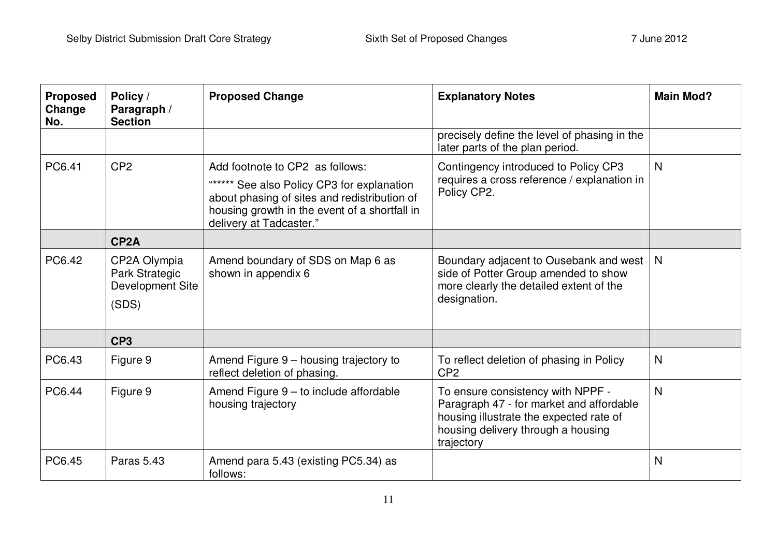| <b>Proposed</b><br>Change<br>No. | Policy /<br>Paragraph /<br><b>Section</b>                   | <b>Proposed Change</b>                                                                                                                                                                                    | <b>Explanatory Notes</b>                                                                                                                                                     | <b>Main Mod?</b> |
|----------------------------------|-------------------------------------------------------------|-----------------------------------------------------------------------------------------------------------------------------------------------------------------------------------------------------------|------------------------------------------------------------------------------------------------------------------------------------------------------------------------------|------------------|
|                                  |                                                             |                                                                                                                                                                                                           | precisely define the level of phasing in the<br>later parts of the plan period.                                                                                              |                  |
| PC6.41                           | CP <sub>2</sub>                                             | Add footnote to CP2 as follows:<br>"***** See also Policy CP3 for explanation<br>about phasing of sites and redistribution of<br>housing growth in the event of a shortfall in<br>delivery at Tadcaster." | Contingency introduced to Policy CP3<br>requires a cross reference / explanation in<br>Policy CP2.                                                                           | N                |
|                                  | CP <sub>2</sub> A                                           |                                                                                                                                                                                                           |                                                                                                                                                                              |                  |
| PC6.42                           | CP2A Olympia<br>Park Strategic<br>Development Site<br>(SDS) | Amend boundary of SDS on Map 6 as<br>shown in appendix 6                                                                                                                                                  | Boundary adjacent to Ousebank and west<br>side of Potter Group amended to show<br>more clearly the detailed extent of the<br>designation.                                    | N                |
|                                  | CP <sub>3</sub>                                             |                                                                                                                                                                                                           |                                                                                                                                                                              |                  |
| PC6.43                           | Figure 9                                                    | Amend Figure 9 - housing trajectory to<br>reflect deletion of phasing.                                                                                                                                    | To reflect deletion of phasing in Policy<br>CP <sub>2</sub>                                                                                                                  | $\mathsf{N}$     |
| PC6.44                           | Figure 9                                                    | Amend Figure 9 - to include affordable<br>housing trajectory                                                                                                                                              | To ensure consistency with NPPF -<br>Paragraph 47 - for market and affordable<br>housing illustrate the expected rate of<br>housing delivery through a housing<br>trajectory | $\mathsf{N}$     |
| PC6.45                           | <b>Paras 5.43</b>                                           | Amend para 5.43 (existing PC5.34) as<br>follows:                                                                                                                                                          |                                                                                                                                                                              | N                |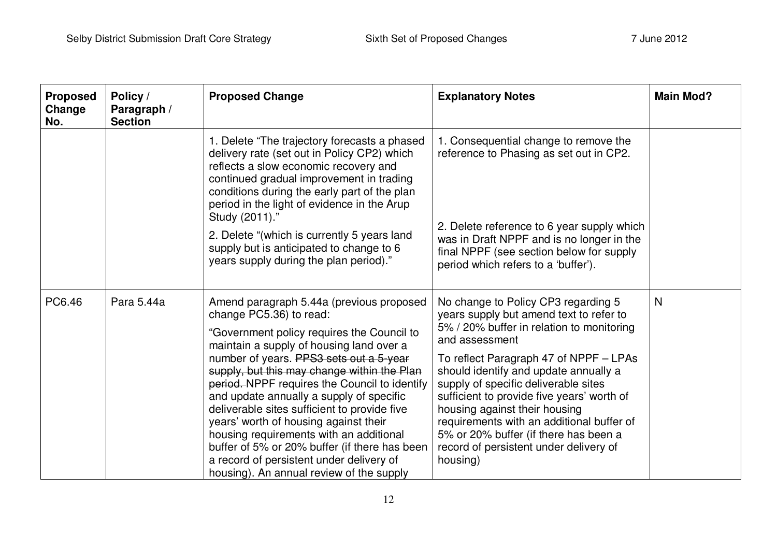| <b>Proposed</b><br>Change<br>No. | Policy /<br>Paragraph /<br><b>Section</b> | <b>Proposed Change</b>                                                                                                                                                                                                                                                                                                                                                                                                                                                                                                                                                                                                            | <b>Explanatory Notes</b>                                                                                                                                                                                                                                                                                                                                                                                                                                                                            | <b>Main Mod?</b> |
|----------------------------------|-------------------------------------------|-----------------------------------------------------------------------------------------------------------------------------------------------------------------------------------------------------------------------------------------------------------------------------------------------------------------------------------------------------------------------------------------------------------------------------------------------------------------------------------------------------------------------------------------------------------------------------------------------------------------------------------|-----------------------------------------------------------------------------------------------------------------------------------------------------------------------------------------------------------------------------------------------------------------------------------------------------------------------------------------------------------------------------------------------------------------------------------------------------------------------------------------------------|------------------|
|                                  |                                           | 1. Delete "The trajectory forecasts a phased<br>delivery rate (set out in Policy CP2) which<br>reflects a slow economic recovery and<br>continued gradual improvement in trading<br>conditions during the early part of the plan<br>period in the light of evidence in the Arup<br>Study (2011)."<br>2. Delete "(which is currently 5 years land<br>supply but is anticipated to change to 6<br>years supply during the plan period)."                                                                                                                                                                                            | 1. Consequential change to remove the<br>reference to Phasing as set out in CP2.<br>2. Delete reference to 6 year supply which<br>was in Draft NPPF and is no longer in the<br>final NPPF (see section below for supply<br>period which refers to a 'buffer').                                                                                                                                                                                                                                      |                  |
| PC6.46                           | Para 5.44a                                | Amend paragraph 5.44a (previous proposed<br>change PC5.36) to read:<br>"Government policy requires the Council to<br>maintain a supply of housing land over a<br>number of years. PPS3 sets out a 5-year<br>supply, but this may change within the Plan<br>period. NPPF requires the Council to identify<br>and update annually a supply of specific<br>deliverable sites sufficient to provide five<br>years' worth of housing against their<br>housing requirements with an additional<br>buffer of 5% or 20% buffer (if there has been<br>a record of persistent under delivery of<br>housing). An annual review of the supply | No change to Policy CP3 regarding 5<br>years supply but amend text to refer to<br>5% / 20% buffer in relation to monitoring<br>and assessment<br>To reflect Paragraph 47 of NPPF - LPAs<br>should identify and update annually a<br>supply of specific deliverable sites<br>sufficient to provide five years' worth of<br>housing against their housing<br>requirements with an additional buffer of<br>5% or 20% buffer (if there has been a<br>record of persistent under delivery of<br>housing) | N                |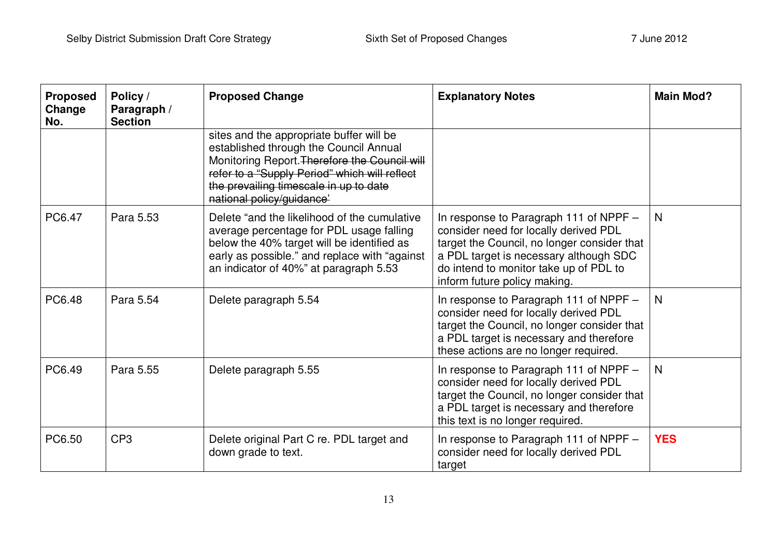| <b>Proposed</b><br>Change<br>No. | Policy /<br>Paragraph /<br><b>Section</b> | <b>Proposed Change</b>                                                                                                                                                                                                                                      | <b>Explanatory Notes</b>                                                                                                                                                                                                                           | <b>Main Mod?</b> |
|----------------------------------|-------------------------------------------|-------------------------------------------------------------------------------------------------------------------------------------------------------------------------------------------------------------------------------------------------------------|----------------------------------------------------------------------------------------------------------------------------------------------------------------------------------------------------------------------------------------------------|------------------|
|                                  |                                           | sites and the appropriate buffer will be<br>established through the Council Annual<br>Monitoring Report. Therefore the Council will<br>refer to a "Supply Period" which will reflect<br>the prevailing timescale in up to date<br>national policy/guidance' |                                                                                                                                                                                                                                                    |                  |
| PC6.47                           | Para 5.53                                 | Delete "and the likelihood of the cumulative<br>average percentage for PDL usage falling<br>below the 40% target will be identified as<br>early as possible." and replace with "against<br>an indicator of 40%" at paragraph 5.53                           | In response to Paragraph 111 of NPPF -<br>consider need for locally derived PDL<br>target the Council, no longer consider that<br>a PDL target is necessary although SDC<br>do intend to monitor take up of PDL to<br>inform future policy making. | N                |
| PC6.48                           | Para 5.54                                 | Delete paragraph 5.54                                                                                                                                                                                                                                       | In response to Paragraph 111 of NPPF -<br>consider need for locally derived PDL<br>target the Council, no longer consider that<br>a PDL target is necessary and therefore<br>these actions are no longer required.                                 | $\mathsf{N}$     |
| PC6.49                           | Para 5.55                                 | Delete paragraph 5.55                                                                                                                                                                                                                                       | In response to Paragraph 111 of NPPF -<br>consider need for locally derived PDL<br>target the Council, no longer consider that<br>a PDL target is necessary and therefore<br>this text is no longer required.                                      | $\mathsf{N}$     |
| PC6.50                           | CP <sub>3</sub>                           | Delete original Part C re. PDL target and<br>down grade to text.                                                                                                                                                                                            | In response to Paragraph 111 of NPPF -<br>consider need for locally derived PDL<br>target                                                                                                                                                          | <b>YES</b>       |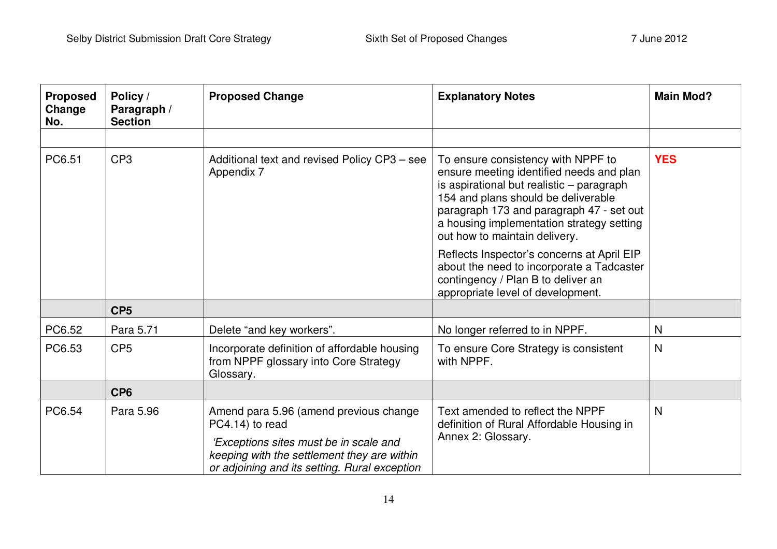| <b>Proposed</b><br>Change<br>No. | Policy /<br>Paragraph /<br><b>Section</b> | <b>Proposed Change</b>                                                                                                                                                                              | <b>Explanatory Notes</b>                                                                                                                                                                                                                                                                     | <b>Main Mod?</b> |
|----------------------------------|-------------------------------------------|-----------------------------------------------------------------------------------------------------------------------------------------------------------------------------------------------------|----------------------------------------------------------------------------------------------------------------------------------------------------------------------------------------------------------------------------------------------------------------------------------------------|------------------|
|                                  |                                           |                                                                                                                                                                                                     |                                                                                                                                                                                                                                                                                              |                  |
| PC6.51                           | CP <sub>3</sub>                           | Additional text and revised Policy CP3 - see<br>Appendix 7                                                                                                                                          | To ensure consistency with NPPF to<br>ensure meeting identified needs and plan<br>is aspirational but realistic - paragraph<br>154 and plans should be deliverable<br>paragraph 173 and paragraph 47 - set out<br>a housing implementation strategy setting<br>out how to maintain delivery. | <b>YES</b>       |
|                                  |                                           |                                                                                                                                                                                                     | Reflects Inspector's concerns at April EIP<br>about the need to incorporate a Tadcaster<br>contingency / Plan B to deliver an<br>appropriate level of development.                                                                                                                           |                  |
|                                  | CP <sub>5</sub>                           |                                                                                                                                                                                                     |                                                                                                                                                                                                                                                                                              |                  |
| PC6.52                           | Para 5.71                                 | Delete "and key workers".                                                                                                                                                                           | No longer referred to in NPPF.                                                                                                                                                                                                                                                               | N                |
| PC6.53                           | CP <sub>5</sub>                           | Incorporate definition of affordable housing<br>from NPPF glossary into Core Strategy<br>Glossary.                                                                                                  | To ensure Core Strategy is consistent<br>with NPPF.                                                                                                                                                                                                                                          | N                |
|                                  | CP <sub>6</sub>                           |                                                                                                                                                                                                     |                                                                                                                                                                                                                                                                                              |                  |
| PC6.54                           | Para 5.96                                 | Amend para 5.96 (amend previous change<br>PC4.14) to read<br>'Exceptions sites must be in scale and<br>keeping with the settlement they are within<br>or adjoining and its setting. Rural exception | Text amended to reflect the NPPF<br>definition of Rural Affordable Housing in<br>Annex 2: Glossary.                                                                                                                                                                                          | N                |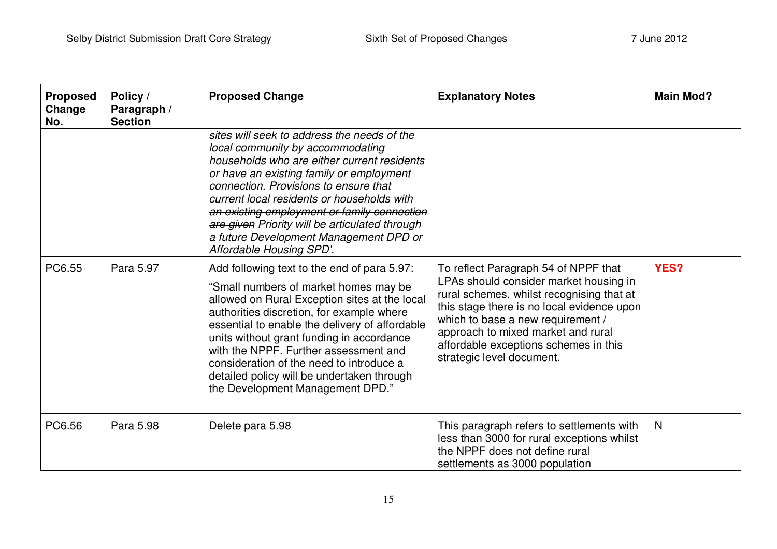| <b>Proposed</b><br>Change<br>No. | Policy /<br>Paragraph /<br><b>Section</b> | <b>Proposed Change</b>                                                                                                                                                                                                                                                                                                                                                                                                                                   | <b>Explanatory Notes</b>                                                                                                                                                                                                                                                                                                   | <b>Main Mod?</b> |
|----------------------------------|-------------------------------------------|----------------------------------------------------------------------------------------------------------------------------------------------------------------------------------------------------------------------------------------------------------------------------------------------------------------------------------------------------------------------------------------------------------------------------------------------------------|----------------------------------------------------------------------------------------------------------------------------------------------------------------------------------------------------------------------------------------------------------------------------------------------------------------------------|------------------|
|                                  |                                           | sites will seek to address the needs of the<br>local community by accommodating<br>households who are either current residents<br>or have an existing family or employment<br>connection. Provisions to ensure that<br>current local residents or households with<br>an existing employment or family connection<br>are given Priority will be articulated through<br>a future Development Management DPD or<br>Affordable Housing SPD'.                 |                                                                                                                                                                                                                                                                                                                            |                  |
| PC6.55                           | Para 5.97                                 | Add following text to the end of para 5.97:<br>"Small numbers of market homes may be<br>allowed on Rural Exception sites at the local<br>authorities discretion, for example where<br>essential to enable the delivery of affordable<br>units without grant funding in accordance<br>with the NPPF. Further assessment and<br>consideration of the need to introduce a<br>detailed policy will be undertaken through<br>the Development Management DPD." | To reflect Paragraph 54 of NPPF that<br>LPAs should consider market housing in<br>rural schemes, whilst recognising that at<br>this stage there is no local evidence upon<br>which to base a new requirement /<br>approach to mixed market and rural<br>affordable exceptions schemes in this<br>strategic level document. | YES?             |
| PC6.56                           | Para 5.98                                 | Delete para 5.98                                                                                                                                                                                                                                                                                                                                                                                                                                         | This paragraph refers to settlements with<br>less than 3000 for rural exceptions whilst<br>the NPPF does not define rural<br>settlements as 3000 population                                                                                                                                                                | $\mathsf{N}$     |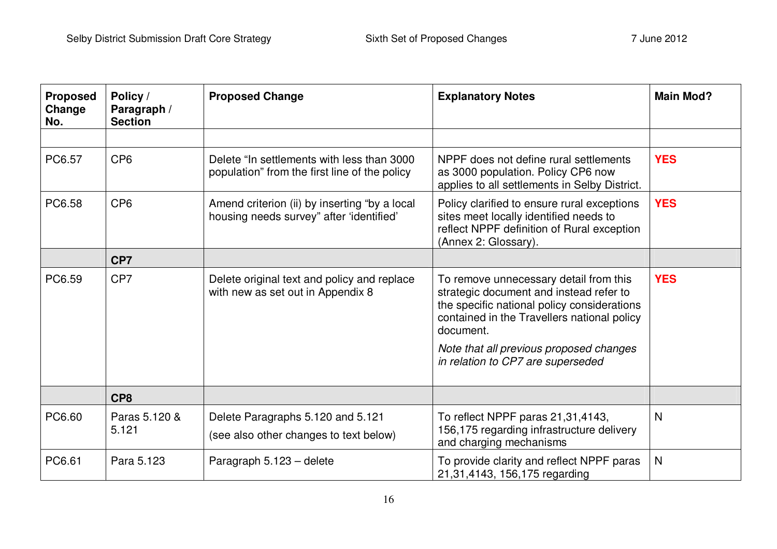| <b>Proposed</b><br>Change<br>No. | Policy /<br>Paragraph /<br><b>Section</b> | <b>Proposed Change</b>                                                                      | <b>Explanatory Notes</b>                                                                                                                                                                                                                                                     | <b>Main Mod?</b> |
|----------------------------------|-------------------------------------------|---------------------------------------------------------------------------------------------|------------------------------------------------------------------------------------------------------------------------------------------------------------------------------------------------------------------------------------------------------------------------------|------------------|
|                                  |                                           |                                                                                             |                                                                                                                                                                                                                                                                              |                  |
| PC6.57                           | CP <sub>6</sub>                           | Delete "In settlements with less than 3000<br>population" from the first line of the policy | NPPF does not define rural settlements<br>as 3000 population. Policy CP6 now<br>applies to all settlements in Selby District.                                                                                                                                                | <b>YES</b>       |
| PC6.58                           | CP <sub>6</sub>                           | Amend criterion (ii) by inserting "by a local<br>housing needs survey" after 'identified'   | Policy clarified to ensure rural exceptions<br>sites meet locally identified needs to<br>reflect NPPF definition of Rural exception<br>(Annex 2: Glossary).                                                                                                                  | <b>YES</b>       |
|                                  | CP7                                       |                                                                                             |                                                                                                                                                                                                                                                                              |                  |
| PC6.59                           | CP7                                       | Delete original text and policy and replace<br>with new as set out in Appendix 8            | To remove unnecessary detail from this<br>strategic document and instead refer to<br>the specific national policy considerations<br>contained in the Travellers national policy<br>document.<br>Note that all previous proposed changes<br>in relation to CP7 are superseded | <b>YES</b>       |
|                                  | CP <sub>8</sub>                           |                                                                                             |                                                                                                                                                                                                                                                                              |                  |
| PC6.60                           | Paras 5.120 &<br>5.121                    | Delete Paragraphs 5.120 and 5.121<br>(see also other changes to text below)                 | To reflect NPPF paras 21,31,4143,<br>156,175 regarding infrastructure delivery<br>and charging mechanisms                                                                                                                                                                    | N                |
| PC6.61                           | Para 5.123                                | Paragraph 5.123 - delete                                                                    | To provide clarity and reflect NPPF paras<br>21,31,4143, 156,175 regarding                                                                                                                                                                                                   | $\mathsf{N}$     |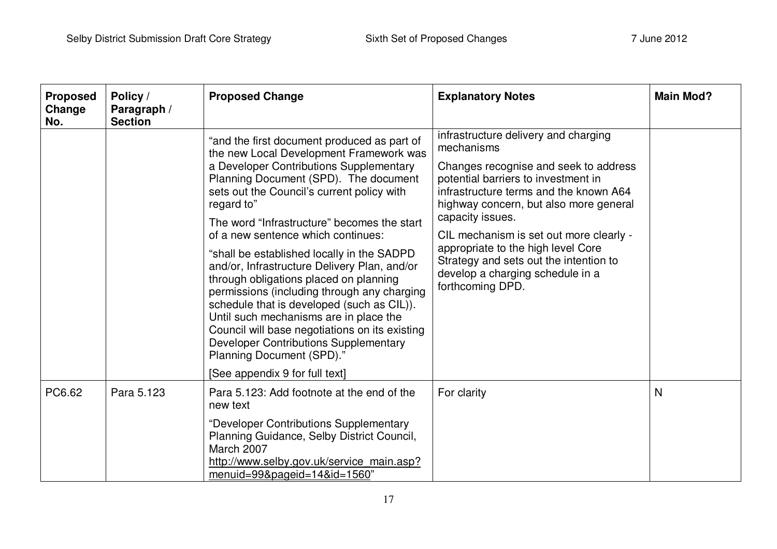| <b>Proposed</b><br>Change<br>No. | Policy /<br>Paragraph /<br><b>Section</b> | <b>Proposed Change</b>                                                                                                                                                                                                                                                                                                                                                                                                                                                                                                                                                                                                                                                                                                                                                      | <b>Explanatory Notes</b>                                                                                                                                                                                                                                                                                                                                                                                                      | <b>Main Mod?</b> |
|----------------------------------|-------------------------------------------|-----------------------------------------------------------------------------------------------------------------------------------------------------------------------------------------------------------------------------------------------------------------------------------------------------------------------------------------------------------------------------------------------------------------------------------------------------------------------------------------------------------------------------------------------------------------------------------------------------------------------------------------------------------------------------------------------------------------------------------------------------------------------------|-------------------------------------------------------------------------------------------------------------------------------------------------------------------------------------------------------------------------------------------------------------------------------------------------------------------------------------------------------------------------------------------------------------------------------|------------------|
|                                  |                                           | "and the first document produced as part of<br>the new Local Development Framework was<br>a Developer Contributions Supplementary<br>Planning Document (SPD). The document<br>sets out the Council's current policy with<br>regard to"<br>The word "Infrastructure" becomes the start<br>of a new sentence which continues:<br>"shall be established locally in the SADPD<br>and/or, Infrastructure Delivery Plan, and/or<br>through obligations placed on planning<br>permissions (including through any charging<br>schedule that is developed (such as CIL)).<br>Until such mechanisms are in place the<br>Council will base negotiations on its existing<br><b>Developer Contributions Supplementary</b><br>Planning Document (SPD)."<br>[See appendix 9 for full text] | infrastructure delivery and charging<br>mechanisms<br>Changes recognise and seek to address<br>potential barriers to investment in<br>infrastructure terms and the known A64<br>highway concern, but also more general<br>capacity issues.<br>CIL mechanism is set out more clearly -<br>appropriate to the high level Core<br>Strategy and sets out the intention to<br>develop a charging schedule in a<br>forthcoming DPD. |                  |
| PC6.62                           | Para 5.123                                | Para 5.123: Add footnote at the end of the<br>new text<br>"Developer Contributions Supplementary<br>Planning Guidance, Selby District Council,<br>March 2007<br>http://www.selby.gov.uk/service_main.asp?<br>menuid=99&pageid=14&id=1560"                                                                                                                                                                                                                                                                                                                                                                                                                                                                                                                                   | For clarity                                                                                                                                                                                                                                                                                                                                                                                                                   | N                |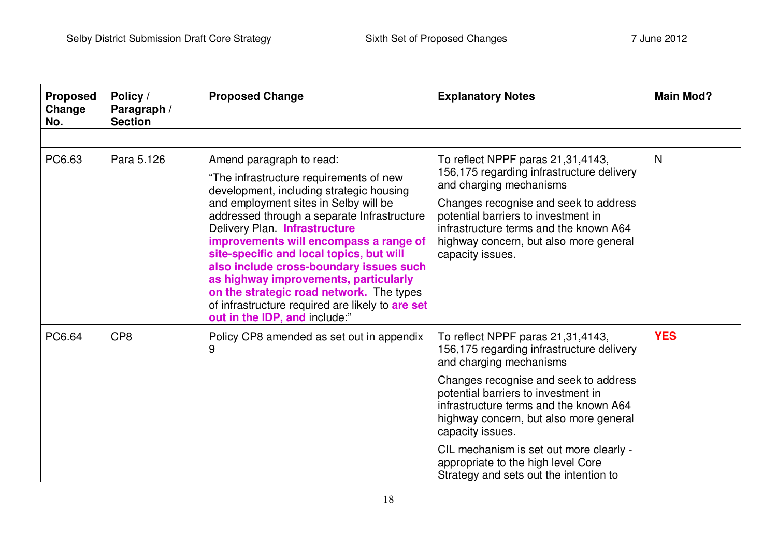| <b>Proposed</b><br>Change<br>No. | Policy /<br>Paragraph /<br><b>Section</b> | <b>Proposed Change</b>                                                                                                                                                                                                                                                                                                                                                                                                                                                                                                                              | <b>Explanatory Notes</b>                                                                                                                                                                                                                                                                                                                                                           | <b>Main Mod?</b> |
|----------------------------------|-------------------------------------------|-----------------------------------------------------------------------------------------------------------------------------------------------------------------------------------------------------------------------------------------------------------------------------------------------------------------------------------------------------------------------------------------------------------------------------------------------------------------------------------------------------------------------------------------------------|------------------------------------------------------------------------------------------------------------------------------------------------------------------------------------------------------------------------------------------------------------------------------------------------------------------------------------------------------------------------------------|------------------|
|                                  |                                           |                                                                                                                                                                                                                                                                                                                                                                                                                                                                                                                                                     |                                                                                                                                                                                                                                                                                                                                                                                    |                  |
| PC6.63                           | Para 5.126                                | Amend paragraph to read:<br>"The infrastructure requirements of new<br>development, including strategic housing<br>and employment sites in Selby will be<br>addressed through a separate Infrastructure<br>Delivery Plan. Infrastructure<br>improvements will encompass a range of<br>site-specific and local topics, but will<br>also include cross-boundary issues such<br>as highway improvements, particularly<br>on the strategic road network. The types<br>of infrastructure required are likely to are set<br>out in the IDP, and include:" | To reflect NPPF paras 21,31,4143,<br>156,175 regarding infrastructure delivery<br>and charging mechanisms<br>Changes recognise and seek to address<br>potential barriers to investment in<br>infrastructure terms and the known A64<br>highway concern, but also more general<br>capacity issues.                                                                                  | $\mathsf{N}$     |
| PC6.64                           | CP <sub>8</sub>                           | Policy CP8 amended as set out in appendix<br>9                                                                                                                                                                                                                                                                                                                                                                                                                                                                                                      | To reflect NPPF paras 21,31,4143,<br>156,175 regarding infrastructure delivery<br>and charging mechanisms<br>Changes recognise and seek to address<br>potential barriers to investment in<br>infrastructure terms and the known A64<br>highway concern, but also more general<br>capacity issues.<br>CIL mechanism is set out more clearly -<br>appropriate to the high level Core | <b>YES</b>       |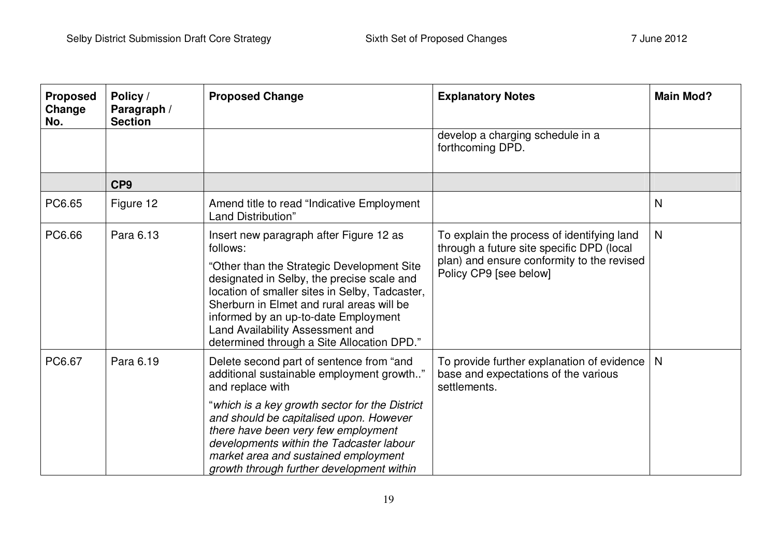| <b>Proposed</b><br>Change<br>No. | Policy /<br>Paragraph /<br><b>Section</b> | <b>Proposed Change</b>                                                                                                                                                                                                                                                                                                                                                         | <b>Explanatory Notes</b>                                                                                                                                        | <b>Main Mod?</b> |
|----------------------------------|-------------------------------------------|--------------------------------------------------------------------------------------------------------------------------------------------------------------------------------------------------------------------------------------------------------------------------------------------------------------------------------------------------------------------------------|-----------------------------------------------------------------------------------------------------------------------------------------------------------------|------------------|
|                                  |                                           |                                                                                                                                                                                                                                                                                                                                                                                | develop a charging schedule in a<br>forthcoming DPD.                                                                                                            |                  |
|                                  | CP <sub>9</sub>                           |                                                                                                                                                                                                                                                                                                                                                                                |                                                                                                                                                                 |                  |
| PC6.65                           | Figure 12                                 | Amend title to read "Indicative Employment"<br>Land Distribution"                                                                                                                                                                                                                                                                                                              |                                                                                                                                                                 | N                |
| PC6.66                           | Para 6.13                                 | Insert new paragraph after Figure 12 as<br>follows:<br>"Other than the Strategic Development Site<br>designated in Selby, the precise scale and<br>location of smaller sites in Selby, Tadcaster,<br>Sherburn in Elmet and rural areas will be<br>informed by an up-to-date Employment<br>Land Availability Assessment and<br>determined through a Site Allocation DPD."       | To explain the process of identifying land<br>through a future site specific DPD (local<br>plan) and ensure conformity to the revised<br>Policy CP9 [see below] | $\mathsf{N}$     |
| PC6.67                           | Para 6.19                                 | Delete second part of sentence from "and<br>additional sustainable employment growth"<br>and replace with<br>"which is a key growth sector for the District<br>and should be capitalised upon. However<br>there have been very few employment<br>developments within the Tadcaster labour<br>market area and sustained employment<br>growth through further development within | To provide further explanation of evidence<br>base and expectations of the various<br>settlements.                                                              | N                |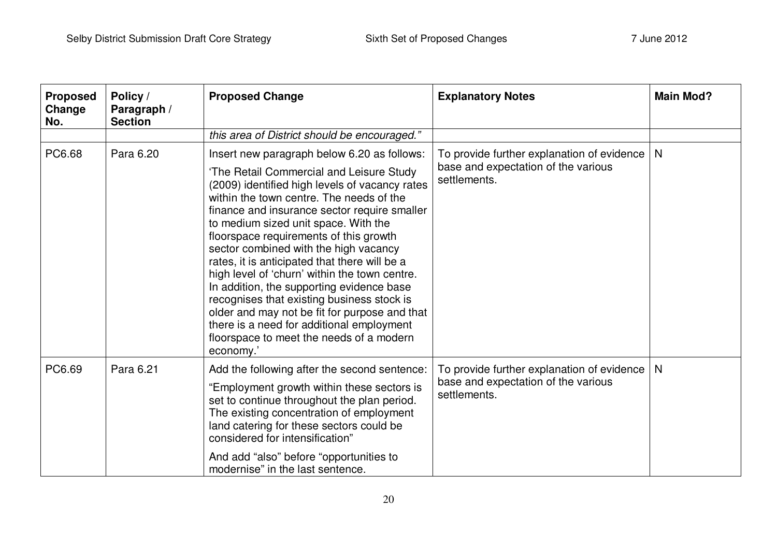| <b>Proposed</b><br>Change<br>No. | Policy /<br>Paragraph /<br><b>Section</b> | <b>Proposed Change</b>                                                                                                                                                                                                                                                                                                                                                                                                                                                                                                                                                                                                                                                                                               | <b>Explanatory Notes</b>                                                                          | <b>Main Mod?</b> |
|----------------------------------|-------------------------------------------|----------------------------------------------------------------------------------------------------------------------------------------------------------------------------------------------------------------------------------------------------------------------------------------------------------------------------------------------------------------------------------------------------------------------------------------------------------------------------------------------------------------------------------------------------------------------------------------------------------------------------------------------------------------------------------------------------------------------|---------------------------------------------------------------------------------------------------|------------------|
|                                  |                                           | this area of District should be encouraged."                                                                                                                                                                                                                                                                                                                                                                                                                                                                                                                                                                                                                                                                         |                                                                                                   |                  |
| PC6.68                           | Para 6.20                                 | Insert new paragraph below 6.20 as follows:<br>'The Retail Commercial and Leisure Study<br>(2009) identified high levels of vacancy rates<br>within the town centre. The needs of the<br>finance and insurance sector require smaller<br>to medium sized unit space. With the<br>floorspace requirements of this growth<br>sector combined with the high vacancy<br>rates, it is anticipated that there will be a<br>high level of 'churn' within the town centre.<br>In addition, the supporting evidence base<br>recognises that existing business stock is<br>older and may not be fit for purpose and that<br>there is a need for additional employment<br>floorspace to meet the needs of a modern<br>economy.' | To provide further explanation of evidence<br>base and expectation of the various<br>settlements. | N                |
| PC6.69                           | Para 6.21                                 | Add the following after the second sentence:<br>"Employment growth within these sectors is<br>set to continue throughout the plan period.<br>The existing concentration of employment<br>land catering for these sectors could be<br>considered for intensification"<br>And add "also" before "opportunities to<br>modernise" in the last sentence.                                                                                                                                                                                                                                                                                                                                                                  | To provide further explanation of evidence<br>base and expectation of the various<br>settlements. | N                |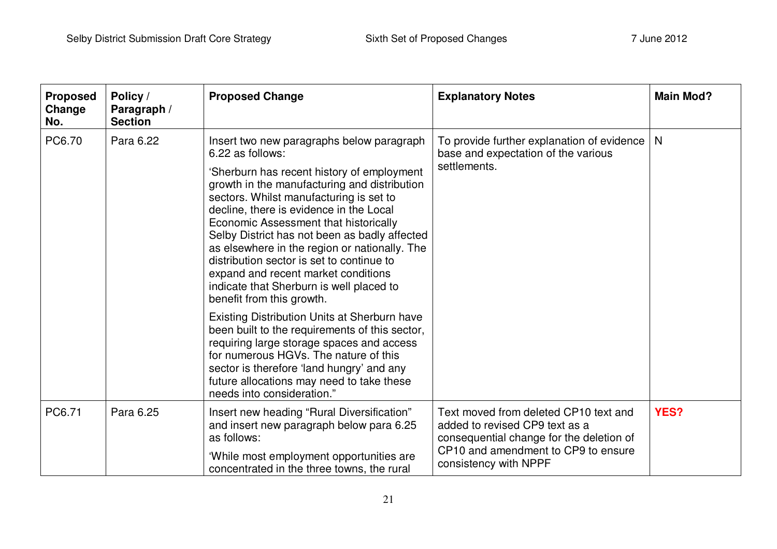| <b>Proposed</b><br>Change<br>No. | Policy /<br>Paragraph /<br><b>Section</b> | <b>Proposed Change</b>                                                                                                                                                                                                                                                                                                                                                                                                                                                                                                                                    | <b>Explanatory Notes</b>                                                                                                                                                            | <b>Main Mod?</b> |
|----------------------------------|-------------------------------------------|-----------------------------------------------------------------------------------------------------------------------------------------------------------------------------------------------------------------------------------------------------------------------------------------------------------------------------------------------------------------------------------------------------------------------------------------------------------------------------------------------------------------------------------------------------------|-------------------------------------------------------------------------------------------------------------------------------------------------------------------------------------|------------------|
| PC6.70                           | Para 6.22                                 | Insert two new paragraphs below paragraph<br>6.22 as follows:<br>'Sherburn has recent history of employment<br>growth in the manufacturing and distribution<br>sectors. Whilst manufacturing is set to<br>decline, there is evidence in the Local<br>Economic Assessment that historically<br>Selby District has not been as badly affected<br>as elsewhere in the region or nationally. The<br>distribution sector is set to continue to<br>expand and recent market conditions<br>indicate that Sherburn is well placed to<br>benefit from this growth. | To provide further explanation of evidence<br>base and expectation of the various<br>settlements.                                                                                   | $\mathsf{N}$     |
|                                  |                                           | Existing Distribution Units at Sherburn have<br>been built to the requirements of this sector,<br>requiring large storage spaces and access<br>for numerous HGVs. The nature of this<br>sector is therefore 'land hungry' and any<br>future allocations may need to take these<br>needs into consideration."                                                                                                                                                                                                                                              |                                                                                                                                                                                     |                  |
| PC6.71                           | Para 6.25                                 | Insert new heading "Rural Diversification"<br>and insert new paragraph below para 6.25<br>as follows:<br>'While most employment opportunities are<br>concentrated in the three towns, the rural                                                                                                                                                                                                                                                                                                                                                           | Text moved from deleted CP10 text and<br>added to revised CP9 text as a<br>consequential change for the deletion of<br>CP10 and amendment to CP9 to ensure<br>consistency with NPPF | YES?             |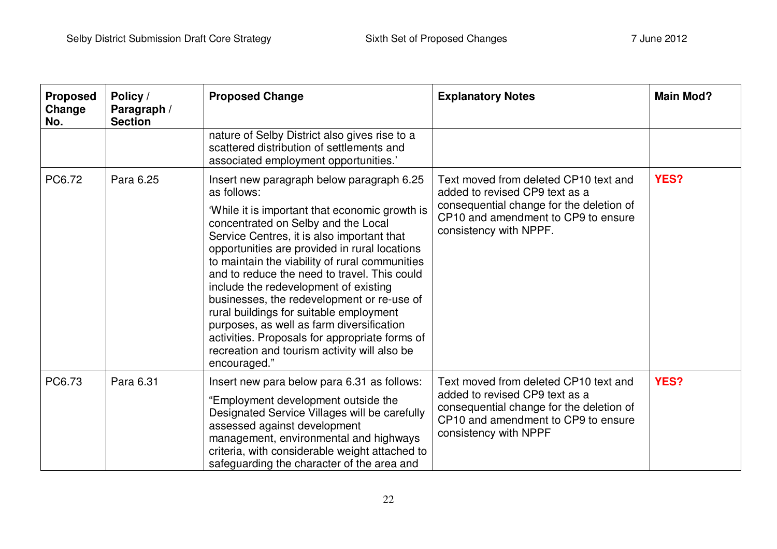| <b>Proposed</b><br>Change<br>No. | Policy /<br>Paragraph /<br><b>Section</b> | <b>Proposed Change</b>                                                                                                                                                                                                                                                                                                                                                                                                                                                                                                                                                                                                                              | <b>Explanatory Notes</b>                                                                                                                                                             | <b>Main Mod?</b> |
|----------------------------------|-------------------------------------------|-----------------------------------------------------------------------------------------------------------------------------------------------------------------------------------------------------------------------------------------------------------------------------------------------------------------------------------------------------------------------------------------------------------------------------------------------------------------------------------------------------------------------------------------------------------------------------------------------------------------------------------------------------|--------------------------------------------------------------------------------------------------------------------------------------------------------------------------------------|------------------|
|                                  |                                           | nature of Selby District also gives rise to a<br>scattered distribution of settlements and<br>associated employment opportunities.'                                                                                                                                                                                                                                                                                                                                                                                                                                                                                                                 |                                                                                                                                                                                      |                  |
| PC6.72                           | Para 6.25                                 | Insert new paragraph below paragraph 6.25<br>as follows:<br>'While it is important that economic growth is<br>concentrated on Selby and the Local<br>Service Centres, it is also important that<br>opportunities are provided in rural locations<br>to maintain the viability of rural communities<br>and to reduce the need to travel. This could<br>include the redevelopment of existing<br>businesses, the redevelopment or re-use of<br>rural buildings for suitable employment<br>purposes, as well as farm diversification<br>activities. Proposals for appropriate forms of<br>recreation and tourism activity will also be<br>encouraged." | Text moved from deleted CP10 text and<br>added to revised CP9 text as a<br>consequential change for the deletion of<br>CP10 and amendment to CP9 to ensure<br>consistency with NPPF. | <b>YES?</b>      |
| PC6.73                           | Para 6.31                                 | Insert new para below para 6.31 as follows:<br>"Employment development outside the<br>Designated Service Villages will be carefully<br>assessed against development<br>management, environmental and highways<br>criteria, with considerable weight attached to<br>safeguarding the character of the area and                                                                                                                                                                                                                                                                                                                                       | Text moved from deleted CP10 text and<br>added to revised CP9 text as a<br>consequential change for the deletion of<br>CP10 and amendment to CP9 to ensure<br>consistency with NPPF  | <b>YES?</b>      |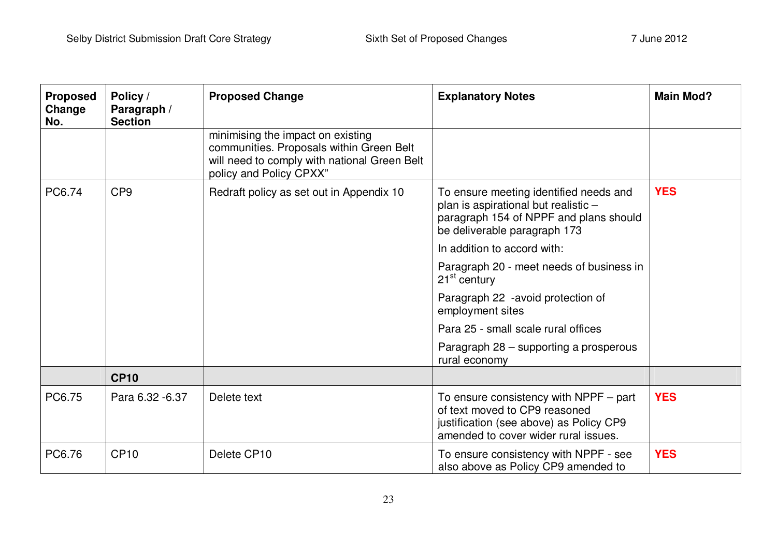| <b>Proposed</b><br>Change<br>No. | Policy /<br>Paragraph /<br><b>Section</b> | <b>Proposed Change</b>                                                                                                                                   | <b>Explanatory Notes</b>                                                                                                                                     | <b>Main Mod?</b> |
|----------------------------------|-------------------------------------------|----------------------------------------------------------------------------------------------------------------------------------------------------------|--------------------------------------------------------------------------------------------------------------------------------------------------------------|------------------|
|                                  |                                           | minimising the impact on existing<br>communities. Proposals within Green Belt<br>will need to comply with national Green Belt<br>policy and Policy CPXX" |                                                                                                                                                              |                  |
| PC6.74                           | CP <sub>9</sub>                           | Redraft policy as set out in Appendix 10                                                                                                                 | To ensure meeting identified needs and<br>plan is aspirational but realistic -<br>paragraph 154 of NPPF and plans should<br>be deliverable paragraph 173     | <b>YES</b>       |
|                                  |                                           |                                                                                                                                                          | In addition to accord with:                                                                                                                                  |                  |
|                                  |                                           |                                                                                                                                                          | Paragraph 20 - meet needs of business in<br>$21st$ century                                                                                                   |                  |
|                                  |                                           |                                                                                                                                                          | Paragraph 22 -avoid protection of<br>employment sites                                                                                                        |                  |
|                                  |                                           |                                                                                                                                                          | Para 25 - small scale rural offices                                                                                                                          |                  |
|                                  |                                           |                                                                                                                                                          | Paragraph 28 - supporting a prosperous<br>rural economy                                                                                                      |                  |
|                                  | <b>CP10</b>                               |                                                                                                                                                          |                                                                                                                                                              |                  |
| PC6.75                           | Para 6.32 - 6.37                          | Delete text                                                                                                                                              | To ensure consistency with $NPPF - part$<br>of text moved to CP9 reasoned<br>justification (see above) as Policy CP9<br>amended to cover wider rural issues. | <b>YES</b>       |
| PC6.76                           | <b>CP10</b>                               | Delete CP10                                                                                                                                              | To ensure consistency with NPPF - see<br>also above as Policy CP9 amended to                                                                                 | <b>YES</b>       |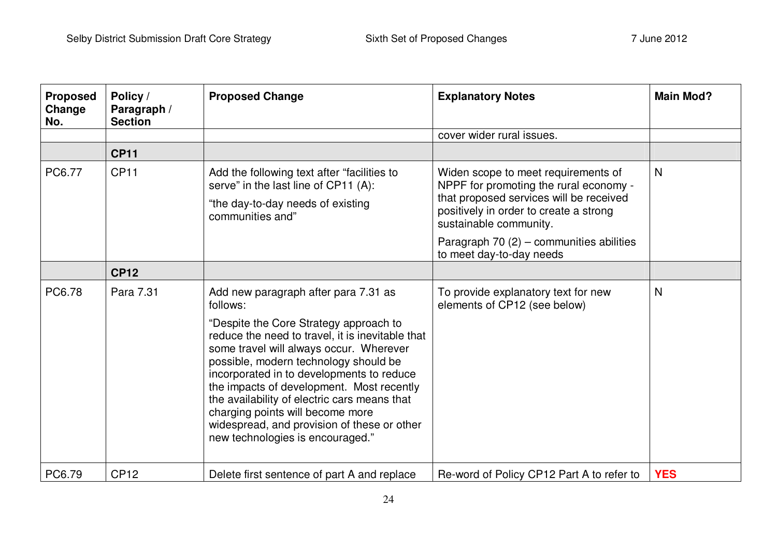| <b>Proposed</b><br>Change<br>No. | Policy /<br>Paragraph /<br><b>Section</b> | <b>Proposed Change</b>                                                                                                                                                                                                                                                                                                                                                                                                                          | <b>Explanatory Notes</b>                                                                                                                                                                     | <b>Main Mod?</b> |
|----------------------------------|-------------------------------------------|-------------------------------------------------------------------------------------------------------------------------------------------------------------------------------------------------------------------------------------------------------------------------------------------------------------------------------------------------------------------------------------------------------------------------------------------------|----------------------------------------------------------------------------------------------------------------------------------------------------------------------------------------------|------------------|
|                                  |                                           |                                                                                                                                                                                                                                                                                                                                                                                                                                                 | cover wider rural issues.                                                                                                                                                                    |                  |
|                                  | <b>CP11</b>                               |                                                                                                                                                                                                                                                                                                                                                                                                                                                 |                                                                                                                                                                                              |                  |
| PC6.77                           | <b>CP11</b>                               | Add the following text after "facilities to<br>serve" in the last line of CP11 (A):<br>"the day-to-day needs of existing<br>communities and"                                                                                                                                                                                                                                                                                                    | Widen scope to meet requirements of<br>NPPF for promoting the rural economy -<br>that proposed services will be received<br>positively in order to create a strong<br>sustainable community. | N                |
|                                  |                                           |                                                                                                                                                                                                                                                                                                                                                                                                                                                 | Paragraph 70 (2) - communities abilities<br>to meet day-to-day needs                                                                                                                         |                  |
|                                  | <b>CP12</b>                               |                                                                                                                                                                                                                                                                                                                                                                                                                                                 |                                                                                                                                                                                              |                  |
| PC6.78                           | Para 7.31                                 | Add new paragraph after para 7.31 as<br>follows:                                                                                                                                                                                                                                                                                                                                                                                                | To provide explanatory text for new<br>elements of CP12 (see below)                                                                                                                          | N                |
|                                  |                                           | "Despite the Core Strategy approach to<br>reduce the need to travel, it is inevitable that<br>some travel will always occur. Wherever<br>possible, modern technology should be<br>incorporated in to developments to reduce<br>the impacts of development. Most recently<br>the availability of electric cars means that<br>charging points will become more<br>widespread, and provision of these or other<br>new technologies is encouraged." |                                                                                                                                                                                              |                  |
| PC6.79                           | <b>CP12</b>                               | Delete first sentence of part A and replace                                                                                                                                                                                                                                                                                                                                                                                                     | Re-word of Policy CP12 Part A to refer to                                                                                                                                                    | <b>YES</b>       |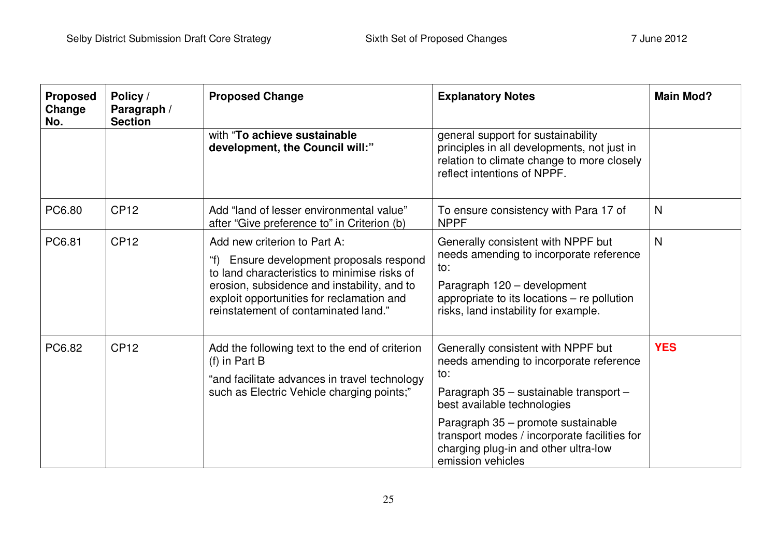| <b>Proposed</b><br>Change<br>No. | Policy /<br>Paragraph /<br><b>Section</b> | <b>Proposed Change</b>                                                                                                                                                                                                                                   | <b>Explanatory Notes</b>                                                                                                                                                                                                                                                                                         | <b>Main Mod?</b> |
|----------------------------------|-------------------------------------------|----------------------------------------------------------------------------------------------------------------------------------------------------------------------------------------------------------------------------------------------------------|------------------------------------------------------------------------------------------------------------------------------------------------------------------------------------------------------------------------------------------------------------------------------------------------------------------|------------------|
|                                  |                                           | with "To achieve sustainable<br>development, the Council will:"                                                                                                                                                                                          | general support for sustainability<br>principles in all developments, not just in<br>relation to climate change to more closely<br>reflect intentions of NPPF.                                                                                                                                                   |                  |
| PC6.80                           | <b>CP12</b>                               | Add "land of lesser environmental value"<br>after "Give preference to" in Criterion (b)                                                                                                                                                                  | To ensure consistency with Para 17 of<br><b>NPPF</b>                                                                                                                                                                                                                                                             | N                |
| PC6.81                           | <b>CP12</b>                               | Add new criterion to Part A:<br>Ensure development proposals respond<br>to land characteristics to minimise risks of<br>erosion, subsidence and instability, and to<br>exploit opportunities for reclamation and<br>reinstatement of contaminated land." | Generally consistent with NPPF but<br>needs amending to incorporate reference<br>to:<br>Paragraph 120 - development<br>appropriate to its locations - re pollution<br>risks, land instability for example.                                                                                                       | N                |
| PC6.82                           | <b>CP12</b>                               | Add the following text to the end of criterion<br>$(f)$ in Part B<br>"and facilitate advances in travel technology<br>such as Electric Vehicle charging points;"                                                                                         | Generally consistent with NPPF but<br>needs amending to incorporate reference<br>to:<br>Paragraph 35 - sustainable transport -<br>best available technologies<br>Paragraph 35 - promote sustainable<br>transport modes / incorporate facilities for<br>charging plug-in and other ultra-low<br>emission vehicles | <b>YES</b>       |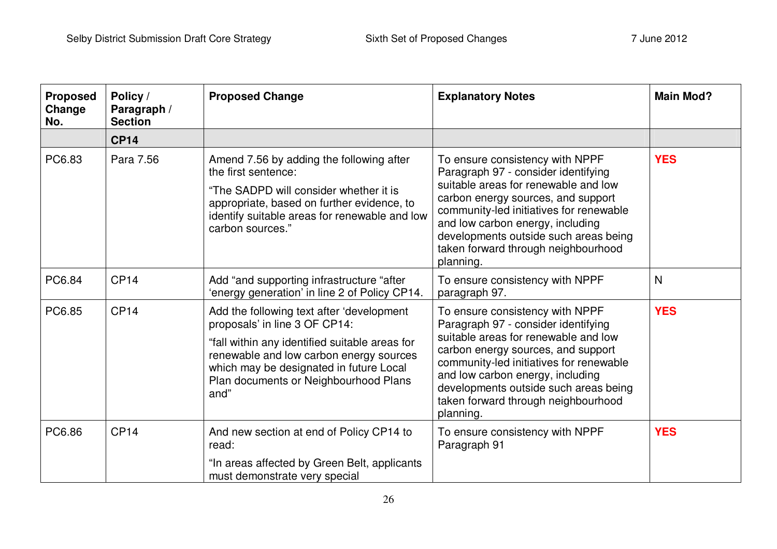| <b>Proposed</b><br>Change<br>No. | Policy /<br>Paragraph /<br><b>Section</b> | <b>Proposed Change</b>                                                                                                                                                                                                                                              | <b>Explanatory Notes</b>                                                                                                                                                                                                                                                                                                         | <b>Main Mod?</b> |
|----------------------------------|-------------------------------------------|---------------------------------------------------------------------------------------------------------------------------------------------------------------------------------------------------------------------------------------------------------------------|----------------------------------------------------------------------------------------------------------------------------------------------------------------------------------------------------------------------------------------------------------------------------------------------------------------------------------|------------------|
|                                  | <b>CP14</b>                               |                                                                                                                                                                                                                                                                     |                                                                                                                                                                                                                                                                                                                                  |                  |
| PC6.83                           | Para 7.56                                 | Amend 7.56 by adding the following after<br>the first sentence:<br>"The SADPD will consider whether it is<br>appropriate, based on further evidence, to<br>identify suitable areas for renewable and low<br>carbon sources."                                        | To ensure consistency with NPPF<br>Paragraph 97 - consider identifying<br>suitable areas for renewable and low<br>carbon energy sources, and support<br>community-led initiatives for renewable<br>and low carbon energy, including<br>developments outside such areas being<br>taken forward through neighbourhood<br>planning. | <b>YES</b>       |
| PC6.84                           | CP <sub>14</sub>                          | Add "and supporting infrastructure "after<br>'energy generation' in line 2 of Policy CP14.                                                                                                                                                                          | To ensure consistency with NPPF<br>paragraph 97.                                                                                                                                                                                                                                                                                 | N                |
| PC6.85                           | CP <sub>14</sub>                          | Add the following text after 'development<br>proposals' in line 3 OF CP14:<br>"fall within any identified suitable areas for<br>renewable and low carbon energy sources<br>which may be designated in future Local<br>Plan documents or Neighbourhood Plans<br>and" | To ensure consistency with NPPF<br>Paragraph 97 - consider identifying<br>suitable areas for renewable and low<br>carbon energy sources, and support<br>community-led initiatives for renewable<br>and low carbon energy, including<br>developments outside such areas being<br>taken forward through neighbourhood<br>planning. | <b>YES</b>       |
| PC6.86                           | CP <sub>14</sub>                          | And new section at end of Policy CP14 to<br>read:<br>"In areas affected by Green Belt, applicants<br>must demonstrate very special                                                                                                                                  | To ensure consistency with NPPF<br>Paragraph 91                                                                                                                                                                                                                                                                                  | <b>YES</b>       |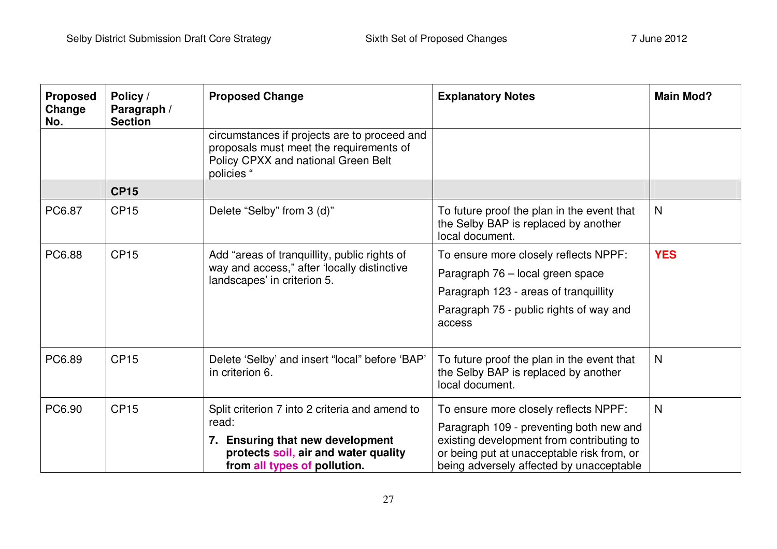| <b>Proposed</b><br>Change<br>No. | Policy /<br>Paragraph /<br><b>Section</b> | <b>Proposed Change</b>                                                                                                                       | <b>Explanatory Notes</b>                                                                              | <b>Main Mod?</b> |
|----------------------------------|-------------------------------------------|----------------------------------------------------------------------------------------------------------------------------------------------|-------------------------------------------------------------------------------------------------------|------------------|
|                                  |                                           | circumstances if projects are to proceed and<br>proposals must meet the requirements of<br>Policy CPXX and national Green Belt<br>policies " |                                                                                                       |                  |
|                                  | <b>CP15</b>                               |                                                                                                                                              |                                                                                                       |                  |
| PC6.87                           | <b>CP15</b>                               | Delete "Selby" from 3 (d)"                                                                                                                   | To future proof the plan in the event that<br>the Selby BAP is replaced by another<br>local document. | $\mathsf{N}$     |
| PC6.88                           | <b>CP15</b>                               | Add "areas of tranquillity, public rights of<br>way and access," after 'locally distinctive<br>landscapes' in criterion 5.                   | To ensure more closely reflects NPPF:                                                                 | <b>YES</b>       |
|                                  |                                           |                                                                                                                                              | Paragraph 76 - local green space                                                                      |                  |
|                                  |                                           |                                                                                                                                              | Paragraph 123 - areas of tranquillity                                                                 |                  |
|                                  |                                           |                                                                                                                                              | Paragraph 75 - public rights of way and<br>access                                                     |                  |
| PC6.89                           | <b>CP15</b>                               | Delete 'Selby' and insert "local" before 'BAP'<br>in criterion 6.                                                                            | To future proof the plan in the event that<br>the Selby BAP is replaced by another<br>local document. | N                |
| PC6.90                           | <b>CP15</b>                               | Split criterion 7 into 2 criteria and amend to<br>read:                                                                                      | To ensure more closely reflects NPPF:                                                                 | N                |
|                                  |                                           |                                                                                                                                              | Paragraph 109 - preventing both new and                                                               |                  |
|                                  |                                           | 7. Ensuring that new development                                                                                                             | existing development from contributing to                                                             |                  |
|                                  |                                           | protects soil, air and water quality<br>from all types of pollution.                                                                         | or being put at unacceptable risk from, or<br>being adversely affected by unacceptable                |                  |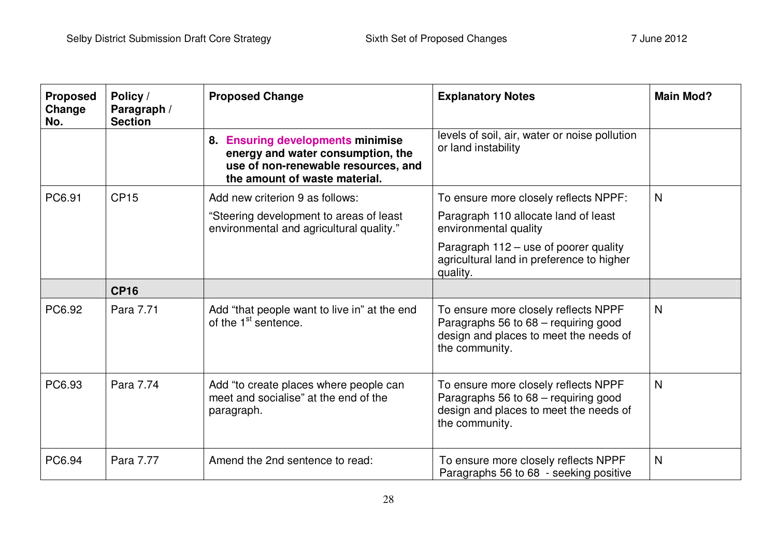| <b>Proposed</b><br>Change<br>No. | Policy /<br>Paragraph /<br><b>Section</b> | <b>Proposed Change</b>                                                                                                                         | <b>Explanatory Notes</b>                                                                                                                 | <b>Main Mod?</b> |
|----------------------------------|-------------------------------------------|------------------------------------------------------------------------------------------------------------------------------------------------|------------------------------------------------------------------------------------------------------------------------------------------|------------------|
|                                  |                                           | 8. Ensuring developments minimise<br>energy and water consumption, the<br>use of non-renewable resources, and<br>the amount of waste material. | levels of soil, air, water or noise pollution<br>or land instability                                                                     |                  |
| PC6.91                           | <b>CP15</b>                               | Add new criterion 9 as follows:                                                                                                                | To ensure more closely reflects NPPF:                                                                                                    | N                |
|                                  |                                           | "Steering development to areas of least<br>environmental and agricultural quality."                                                            | Paragraph 110 allocate land of least<br>environmental quality                                                                            |                  |
|                                  |                                           |                                                                                                                                                | Paragraph 112 – use of poorer quality<br>agricultural land in preference to higher<br>quality.                                           |                  |
|                                  | <b>CP16</b>                               |                                                                                                                                                |                                                                                                                                          |                  |
| PC6.92                           | Para 7.71                                 | Add "that people want to live in" at the end<br>of the 1 <sup>st</sup> sentence.                                                               | To ensure more closely reflects NPPF<br>Paragraphs 56 to 68 - requiring good<br>design and places to meet the needs of<br>the community. | N                |
| PC6.93                           | Para 7.74                                 | Add "to create places where people can<br>meet and socialise" at the end of the<br>paragraph.                                                  | To ensure more closely reflects NPPF<br>Paragraphs 56 to 68 - requiring good<br>design and places to meet the needs of<br>the community. | N                |
| PC6.94                           | Para 7.77                                 | Amend the 2nd sentence to read:                                                                                                                | To ensure more closely reflects NPPF<br>Paragraphs 56 to 68 - seeking positive                                                           | N                |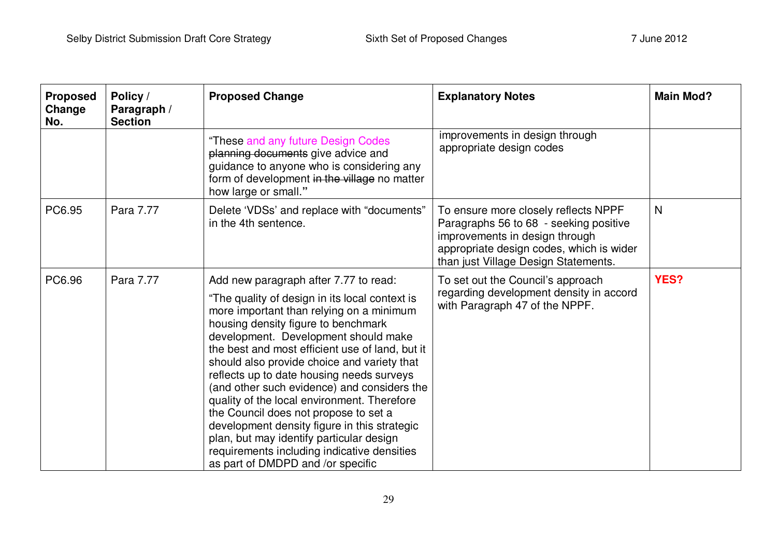| <b>Proposed</b><br>Change<br>No. | Policy /<br>Paragraph /<br><b>Section</b> | <b>Proposed Change</b>                                                                                                                                                                                                                                                                                                                                                                                                                                                                                                                                                                                                                                                                   | <b>Explanatory Notes</b>                                                                                                                                                                             | <b>Main Mod?</b> |
|----------------------------------|-------------------------------------------|------------------------------------------------------------------------------------------------------------------------------------------------------------------------------------------------------------------------------------------------------------------------------------------------------------------------------------------------------------------------------------------------------------------------------------------------------------------------------------------------------------------------------------------------------------------------------------------------------------------------------------------------------------------------------------------|------------------------------------------------------------------------------------------------------------------------------------------------------------------------------------------------------|------------------|
|                                  |                                           | "These and any future Design Codes<br>planning documents give advice and<br>guidance to anyone who is considering any<br>form of development in the village no matter<br>how large or small."                                                                                                                                                                                                                                                                                                                                                                                                                                                                                            | improvements in design through<br>appropriate design codes                                                                                                                                           |                  |
| PC6.95                           | Para 7.77                                 | Delete 'VDSs' and replace with "documents"<br>in the 4th sentence.                                                                                                                                                                                                                                                                                                                                                                                                                                                                                                                                                                                                                       | To ensure more closely reflects NPPF<br>Paragraphs 56 to 68 - seeking positive<br>improvements in design through<br>appropriate design codes, which is wider<br>than just Village Design Statements. | N                |
| PC6.96                           | Para 7.77                                 | Add new paragraph after 7.77 to read:<br>"The quality of design in its local context is<br>more important than relying on a minimum<br>housing density figure to benchmark<br>development. Development should make<br>the best and most efficient use of land, but it<br>should also provide choice and variety that<br>reflects up to date housing needs surveys<br>(and other such evidence) and considers the<br>quality of the local environment. Therefore<br>the Council does not propose to set a<br>development density figure in this strategic<br>plan, but may identify particular design<br>requirements including indicative densities<br>as part of DMDPD and /or specific | To set out the Council's approach<br>regarding development density in accord<br>with Paragraph 47 of the NPPF.                                                                                       | <b>YES?</b>      |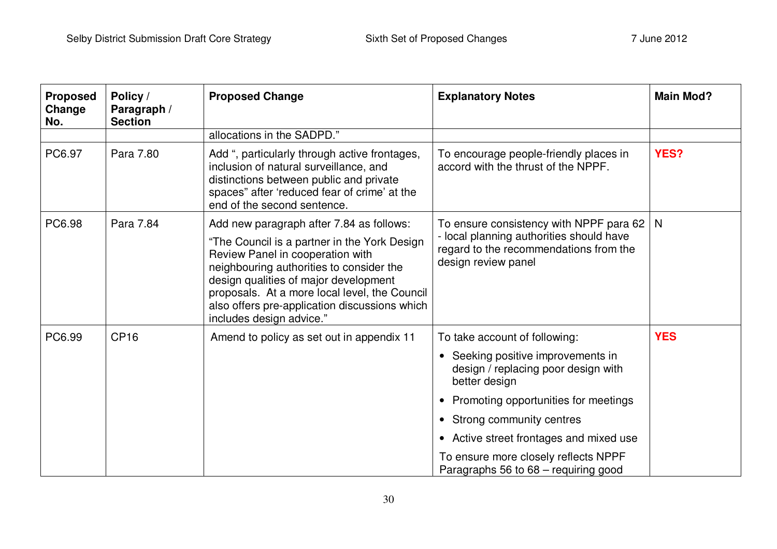| <b>Proposed</b><br>Change<br>No. | Policy /<br>Paragraph /<br><b>Section</b> | <b>Proposed Change</b>                                                                                                                                                                                                                                                                              | <b>Explanatory Notes</b>                                                                                                                             | <b>Main Mod?</b> |
|----------------------------------|-------------------------------------------|-----------------------------------------------------------------------------------------------------------------------------------------------------------------------------------------------------------------------------------------------------------------------------------------------------|------------------------------------------------------------------------------------------------------------------------------------------------------|------------------|
|                                  |                                           | allocations in the SADPD."                                                                                                                                                                                                                                                                          |                                                                                                                                                      |                  |
| PC6.97                           | Para 7.80                                 | Add ", particularly through active frontages,<br>inclusion of natural surveillance, and<br>distinctions between public and private<br>spaces" after 'reduced fear of crime' at the<br>end of the second sentence.                                                                                   | To encourage people-friendly places in<br>accord with the thrust of the NPPF.                                                                        | YES?             |
| PC6.98                           | Para 7.84                                 | Add new paragraph after 7.84 as follows:                                                                                                                                                                                                                                                            | To ensure consistency with NPPF para 62<br>- local planning authorities should have<br>regard to the recommendations from the<br>design review panel | N                |
|                                  |                                           | "The Council is a partner in the York Design<br>Review Panel in cooperation with<br>neighbouring authorities to consider the<br>design qualities of major development<br>proposals. At a more local level, the Council<br>also offers pre-application discussions which<br>includes design advice." |                                                                                                                                                      |                  |
| PC6.99                           | CP <sub>16</sub>                          | Amend to policy as set out in appendix 11                                                                                                                                                                                                                                                           | To take account of following:                                                                                                                        | <b>YES</b>       |
|                                  |                                           |                                                                                                                                                                                                                                                                                                     | • Seeking positive improvements in<br>design / replacing poor design with<br>better design                                                           |                  |
|                                  |                                           |                                                                                                                                                                                                                                                                                                     | • Promoting opportunities for meetings                                                                                                               |                  |
|                                  |                                           |                                                                                                                                                                                                                                                                                                     | • Strong community centres                                                                                                                           |                  |
|                                  |                                           |                                                                                                                                                                                                                                                                                                     | • Active street frontages and mixed use                                                                                                              |                  |
|                                  |                                           |                                                                                                                                                                                                                                                                                                     | To ensure more closely reflects NPPF<br>Paragraphs 56 to 68 – requiring good                                                                         |                  |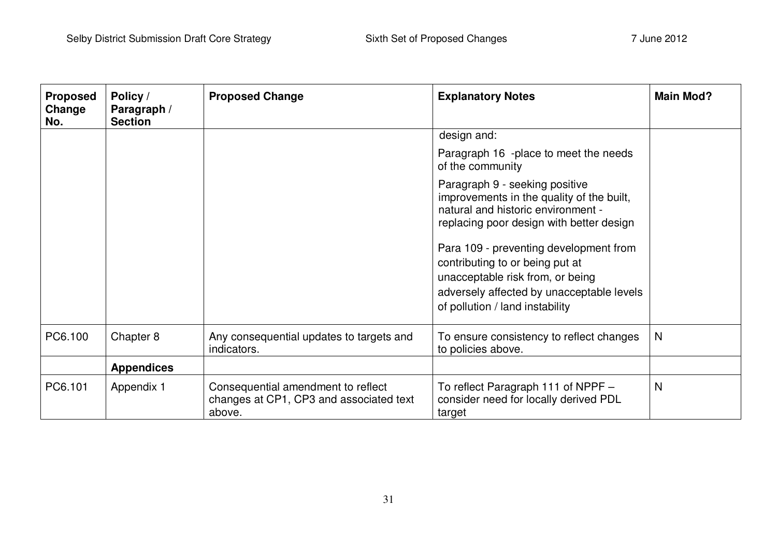| <b>Proposed</b><br>Change<br>No. | Policy /<br>Paragraph /<br><b>Section</b> | <b>Proposed Change</b>                                                                  | <b>Explanatory Notes</b>                                                                                                                                                                      | <b>Main Mod?</b> |
|----------------------------------|-------------------------------------------|-----------------------------------------------------------------------------------------|-----------------------------------------------------------------------------------------------------------------------------------------------------------------------------------------------|------------------|
|                                  |                                           |                                                                                         | design and:                                                                                                                                                                                   |                  |
|                                  |                                           |                                                                                         | Paragraph 16 -place to meet the needs<br>of the community                                                                                                                                     |                  |
|                                  |                                           |                                                                                         | Paragraph 9 - seeking positive<br>improvements in the quality of the built,<br>natural and historic environment -<br>replacing poor design with better design                                 |                  |
|                                  |                                           |                                                                                         | Para 109 - preventing development from<br>contributing to or being put at<br>unacceptable risk from, or being<br>adversely affected by unacceptable levels<br>of pollution / land instability |                  |
|                                  |                                           |                                                                                         |                                                                                                                                                                                               |                  |
| PC6.100                          | Chapter 8                                 | Any consequential updates to targets and<br>indicators.                                 | To ensure consistency to reflect changes<br>to policies above.                                                                                                                                | N                |
|                                  | <b>Appendices</b>                         |                                                                                         |                                                                                                                                                                                               |                  |
| PC6.101                          | Appendix 1                                | Consequential amendment to reflect<br>changes at CP1, CP3 and associated text<br>above. | To reflect Paragraph 111 of NPPF -<br>consider need for locally derived PDL<br>target                                                                                                         | N                |